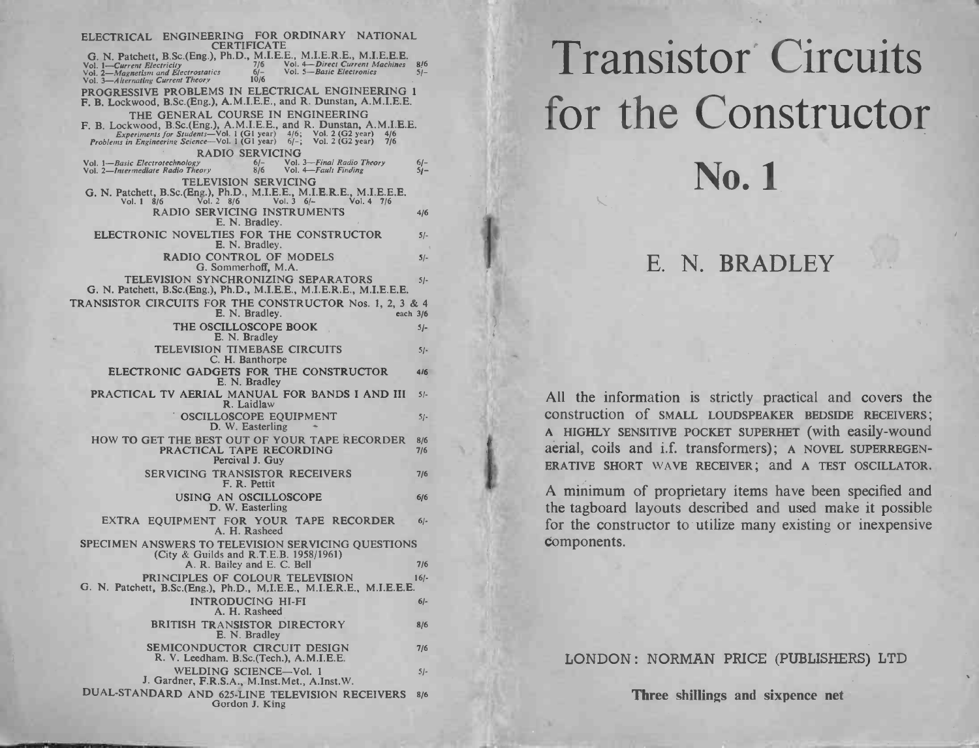| ELECTRICAL ENGINEERING FOR ORDINARY NATIONAL<br><b>CERTIFICATE</b><br><b>Transistor Circuits</b><br>G. N. Patchett, B.Sc.(Eng.), Ph.D., M.I.E.E., M.I.E.R.E., M.I.E.E.E.<br>Vol. 4-Direct Current Machines 816<br>7/6<br>Vol. 1—Current Electricity<br>Vol. 2—Magnetism and Electrostatics<br>Vol. 3—Alternating Current Theory<br>Vol. 5-Basic Electronics<br>$6/-$<br>$51-$<br>10/6<br>PROGRESSIVE PROBLEMS IN ELECTRICAL ENGINEERING 1<br>F. B. Lockwood, B.Sc.(Eng.), A.M.I.E.E., and R. Dunstan, A.M.I.E.E.<br>for the Constructor<br>THE GENERAL COURSE IN ENGINEERING<br>F. B. Lockwood, B.Sc.(Eng.), A.M.I.E.E., and R. Dunstan, A.M.I.E.E.<br>Experiments for Students—Vol. 1 (G1 year) $4/6$ ; Vol. 2 (G2 year) $4/6$<br>Problems in Engineering Science—Vol. 1 (G1 year) $6/-$ ; Vol. 2 (G2 year) $7/6$<br><b>RADIO SERVICING</b><br>Vol. 3—Final Radio Theory<br>Vol. 4—Fault Finding<br>Vol. 1-Basic Electrotechnology<br>$\frac{6}{-8}$<br>$6/-$<br>No. 1<br>Vol. 2-Intermediate Radio Theory<br>$5j-$<br><b>TELEVISION SERVICING</b><br>G. N. Patchett, B.Sc.(Eng.), Ph.D., M.I.E.E., M.I.E.R.E., M.I.E.E.E.<br>Vol. 1 8/6 Vol. 2 8/6 Vol. 3 6/-<br>Vol. 4 7/6<br>RADIO SERVICING INSTRUMENTS<br>4/6<br>E. N. Bradley.<br>ELECTRONIC NOVELTIES FOR THE CONSTRUCTOR<br>$5/-$<br>E. N. Bradley.<br>RADIO CONTROL OF MODELS<br>$5/-$<br>E. N. BRADLEY<br>G. Sommerhoff, M.A.<br>TELEVISION SYNCHRONIZING SEPARATORS<br>$5/-$<br>G. N. Patchett, B.Sc.(Eng.), Ph.D., M.I.E.E., M.I.E.R.E., M.I.E.E.E.<br>TRANSISTOR CIRCUITS FOR THE CONSTRUCTOR Nos. 1, 2, 3 & 4<br>E. N. Bradley.<br>each 3/6<br>THE OSCILLOSCOPE BOOK<br>$5/-$<br>E. N. Bradley<br>TELEVISION TIMEBASE CIRCUITS<br>$5/-$<br>C. H. Banthorpe<br>ELECTRONIC GADGETS FOR THE CONSTRUCTOR<br>416<br>E. N. Bradley<br>PRACTICAL TV AERIAL MANUAL FOR BANDS I AND III<br>$5/-$<br>All the information is strictly practical and covers the<br>R. Laidlaw<br>construction of SMALL LOUDSPEAKER BEDSIDE RECEIVERS;<br>OSCILLOSCOPE EQUIPMENT<br>$5/-$<br>D. W. Easterling<br>A HIGHLY SENSITIVE POCKET SUPERHET (with easily-wound<br>HOW TO GET THE BEST OUT OF YOUR TAPE RECORDER 8/6<br>aerial, coils and i.f. transformers); A NOVEL SUPERREGEN-<br>PRACTICAL TAPE RECORDING<br>7/6<br>Percival J. Guy |  |
|----------------------------------------------------------------------------------------------------------------------------------------------------------------------------------------------------------------------------------------------------------------------------------------------------------------------------------------------------------------------------------------------------------------------------------------------------------------------------------------------------------------------------------------------------------------------------------------------------------------------------------------------------------------------------------------------------------------------------------------------------------------------------------------------------------------------------------------------------------------------------------------------------------------------------------------------------------------------------------------------------------------------------------------------------------------------------------------------------------------------------------------------------------------------------------------------------------------------------------------------------------------------------------------------------------------------------------------------------------------------------------------------------------------------------------------------------------------------------------------------------------------------------------------------------------------------------------------------------------------------------------------------------------------------------------------------------------------------------------------------------------------------------------------------------------------------------------------------------------------------------------------------------------------------------------------------------------------------------------------------------------------------------------------------------------------------------------------------------------------------------------------------------------------------------------------------------------------------------------------------------------------------------------|--|
|                                                                                                                                                                                                                                                                                                                                                                                                                                                                                                                                                                                                                                                                                                                                                                                                                                                                                                                                                                                                                                                                                                                                                                                                                                                                                                                                                                                                                                                                                                                                                                                                                                                                                                                                                                                                                                                                                                                                                                                                                                                                                                                                                                                                                                                                                  |  |
|                                                                                                                                                                                                                                                                                                                                                                                                                                                                                                                                                                                                                                                                                                                                                                                                                                                                                                                                                                                                                                                                                                                                                                                                                                                                                                                                                                                                                                                                                                                                                                                                                                                                                                                                                                                                                                                                                                                                                                                                                                                                                                                                                                                                                                                                                  |  |
|                                                                                                                                                                                                                                                                                                                                                                                                                                                                                                                                                                                                                                                                                                                                                                                                                                                                                                                                                                                                                                                                                                                                                                                                                                                                                                                                                                                                                                                                                                                                                                                                                                                                                                                                                                                                                                                                                                                                                                                                                                                                                                                                                                                                                                                                                  |  |
|                                                                                                                                                                                                                                                                                                                                                                                                                                                                                                                                                                                                                                                                                                                                                                                                                                                                                                                                                                                                                                                                                                                                                                                                                                                                                                                                                                                                                                                                                                                                                                                                                                                                                                                                                                                                                                                                                                                                                                                                                                                                                                                                                                                                                                                                                  |  |
|                                                                                                                                                                                                                                                                                                                                                                                                                                                                                                                                                                                                                                                                                                                                                                                                                                                                                                                                                                                                                                                                                                                                                                                                                                                                                                                                                                                                                                                                                                                                                                                                                                                                                                                                                                                                                                                                                                                                                                                                                                                                                                                                                                                                                                                                                  |  |
|                                                                                                                                                                                                                                                                                                                                                                                                                                                                                                                                                                                                                                                                                                                                                                                                                                                                                                                                                                                                                                                                                                                                                                                                                                                                                                                                                                                                                                                                                                                                                                                                                                                                                                                                                                                                                                                                                                                                                                                                                                                                                                                                                                                                                                                                                  |  |
|                                                                                                                                                                                                                                                                                                                                                                                                                                                                                                                                                                                                                                                                                                                                                                                                                                                                                                                                                                                                                                                                                                                                                                                                                                                                                                                                                                                                                                                                                                                                                                                                                                                                                                                                                                                                                                                                                                                                                                                                                                                                                                                                                                                                                                                                                  |  |
|                                                                                                                                                                                                                                                                                                                                                                                                                                                                                                                                                                                                                                                                                                                                                                                                                                                                                                                                                                                                                                                                                                                                                                                                                                                                                                                                                                                                                                                                                                                                                                                                                                                                                                                                                                                                                                                                                                                                                                                                                                                                                                                                                                                                                                                                                  |  |
|                                                                                                                                                                                                                                                                                                                                                                                                                                                                                                                                                                                                                                                                                                                                                                                                                                                                                                                                                                                                                                                                                                                                                                                                                                                                                                                                                                                                                                                                                                                                                                                                                                                                                                                                                                                                                                                                                                                                                                                                                                                                                                                                                                                                                                                                                  |  |
|                                                                                                                                                                                                                                                                                                                                                                                                                                                                                                                                                                                                                                                                                                                                                                                                                                                                                                                                                                                                                                                                                                                                                                                                                                                                                                                                                                                                                                                                                                                                                                                                                                                                                                                                                                                                                                                                                                                                                                                                                                                                                                                                                                                                                                                                                  |  |
|                                                                                                                                                                                                                                                                                                                                                                                                                                                                                                                                                                                                                                                                                                                                                                                                                                                                                                                                                                                                                                                                                                                                                                                                                                                                                                                                                                                                                                                                                                                                                                                                                                                                                                                                                                                                                                                                                                                                                                                                                                                                                                                                                                                                                                                                                  |  |
|                                                                                                                                                                                                                                                                                                                                                                                                                                                                                                                                                                                                                                                                                                                                                                                                                                                                                                                                                                                                                                                                                                                                                                                                                                                                                                                                                                                                                                                                                                                                                                                                                                                                                                                                                                                                                                                                                                                                                                                                                                                                                                                                                                                                                                                                                  |  |
|                                                                                                                                                                                                                                                                                                                                                                                                                                                                                                                                                                                                                                                                                                                                                                                                                                                                                                                                                                                                                                                                                                                                                                                                                                                                                                                                                                                                                                                                                                                                                                                                                                                                                                                                                                                                                                                                                                                                                                                                                                                                                                                                                                                                                                                                                  |  |
|                                                                                                                                                                                                                                                                                                                                                                                                                                                                                                                                                                                                                                                                                                                                                                                                                                                                                                                                                                                                                                                                                                                                                                                                                                                                                                                                                                                                                                                                                                                                                                                                                                                                                                                                                                                                                                                                                                                                                                                                                                                                                                                                                                                                                                                                                  |  |
|                                                                                                                                                                                                                                                                                                                                                                                                                                                                                                                                                                                                                                                                                                                                                                                                                                                                                                                                                                                                                                                                                                                                                                                                                                                                                                                                                                                                                                                                                                                                                                                                                                                                                                                                                                                                                                                                                                                                                                                                                                                                                                                                                                                                                                                                                  |  |
|                                                                                                                                                                                                                                                                                                                                                                                                                                                                                                                                                                                                                                                                                                                                                                                                                                                                                                                                                                                                                                                                                                                                                                                                                                                                                                                                                                                                                                                                                                                                                                                                                                                                                                                                                                                                                                                                                                                                                                                                                                                                                                                                                                                                                                                                                  |  |
| ERATIVE SHORT WAVE RECEIVER; and A TEST OSCILLATOR.                                                                                                                                                                                                                                                                                                                                                                                                                                                                                                                                                                                                                                                                                                                                                                                                                                                                                                                                                                                                                                                                                                                                                                                                                                                                                                                                                                                                                                                                                                                                                                                                                                                                                                                                                                                                                                                                                                                                                                                                                                                                                                                                                                                                                              |  |
| <b>SERVICING TRANSISTOR RECEIVERS</b><br>7/6<br>F. R. Pettit                                                                                                                                                                                                                                                                                                                                                                                                                                                                                                                                                                                                                                                                                                                                                                                                                                                                                                                                                                                                                                                                                                                                                                                                                                                                                                                                                                                                                                                                                                                                                                                                                                                                                                                                                                                                                                                                                                                                                                                                                                                                                                                                                                                                                     |  |
| A minimum of proprietary items have been specified and<br>USING AN OSCILLOSCOPE<br>6/6<br>the tagboard layouts described and used make it possible<br>D. W. Easterling                                                                                                                                                                                                                                                                                                                                                                                                                                                                                                                                                                                                                                                                                                                                                                                                                                                                                                                                                                                                                                                                                                                                                                                                                                                                                                                                                                                                                                                                                                                                                                                                                                                                                                                                                                                                                                                                                                                                                                                                                                                                                                           |  |
| EXTRA EQUIPMENT FOR YOUR TAPE RECORDER<br>$6/-$<br>for the constructor to utilize many existing or inexpensive<br>A. H. Rasheed                                                                                                                                                                                                                                                                                                                                                                                                                                                                                                                                                                                                                                                                                                                                                                                                                                                                                                                                                                                                                                                                                                                                                                                                                                                                                                                                                                                                                                                                                                                                                                                                                                                                                                                                                                                                                                                                                                                                                                                                                                                                                                                                                  |  |
| components.<br>SPECIMEN ANSWERS TO TELEVISION SERVICING QUESTIONS<br>(City & Guilds and R.T.E.B. 1958/1961)<br>A. R. Bailey and E. C. Bell<br>7/6                                                                                                                                                                                                                                                                                                                                                                                                                                                                                                                                                                                                                                                                                                                                                                                                                                                                                                                                                                                                                                                                                                                                                                                                                                                                                                                                                                                                                                                                                                                                                                                                                                                                                                                                                                                                                                                                                                                                                                                                                                                                                                                                |  |
| PRINCIPLES OF COLOUR TELEVISION<br>$16/-$<br>G. N. Patchett, B.Sc.(Eng.), Ph.D., M.I.E.E., M.I.E.R.E., M.I.E.E.E.                                                                                                                                                                                                                                                                                                                                                                                                                                                                                                                                                                                                                                                                                                                                                                                                                                                                                                                                                                                                                                                                                                                                                                                                                                                                                                                                                                                                                                                                                                                                                                                                                                                                                                                                                                                                                                                                                                                                                                                                                                                                                                                                                                |  |
| <b>INTRODUCING HI-FI</b><br>$6/-$<br>A. H. Rasheed                                                                                                                                                                                                                                                                                                                                                                                                                                                                                                                                                                                                                                                                                                                                                                                                                                                                                                                                                                                                                                                                                                                                                                                                                                                                                                                                                                                                                                                                                                                                                                                                                                                                                                                                                                                                                                                                                                                                                                                                                                                                                                                                                                                                                               |  |
| BRITISH TRANSISTOR DIRECTORY<br>8/6                                                                                                                                                                                                                                                                                                                                                                                                                                                                                                                                                                                                                                                                                                                                                                                                                                                                                                                                                                                                                                                                                                                                                                                                                                                                                                                                                                                                                                                                                                                                                                                                                                                                                                                                                                                                                                                                                                                                                                                                                                                                                                                                                                                                                                              |  |
| E. N. Bradley<br>SEMICONDUCTOR CIRCUIT DESIGN<br>7/6<br>R. V. Leedham. B.Sc.(Tech.), A.M.I.E.E.                                                                                                                                                                                                                                                                                                                                                                                                                                                                                                                                                                                                                                                                                                                                                                                                                                                                                                                                                                                                                                                                                                                                                                                                                                                                                                                                                                                                                                                                                                                                                                                                                                                                                                                                                                                                                                                                                                                                                                                                                                                                                                                                                                                  |  |
| LONDON: NORMAN PRICE (PUBLISHERS) LTD<br>WELDING SCIENCE-Vol. 1<br>$5/-$                                                                                                                                                                                                                                                                                                                                                                                                                                                                                                                                                                                                                                                                                                                                                                                                                                                                                                                                                                                                                                                                                                                                                                                                                                                                                                                                                                                                                                                                                                                                                                                                                                                                                                                                                                                                                                                                                                                                                                                                                                                                                                                                                                                                         |  |
| J. Gardner, F.R.S.A., M.Inst.Met., A.Inst.W.<br>DUAL-STANDARD AND 625-LINE TELEVISION RECEIVERS<br>Three shillings and sixpence net<br>8/6<br>Gordon J. King                                                                                                                                                                                                                                                                                                                                                                                                                                                                                                                                                                                                                                                                                                                                                                                                                                                                                                                                                                                                                                                                                                                                                                                                                                                                                                                                                                                                                                                                                                                                                                                                                                                                                                                                                                                                                                                                                                                                                                                                                                                                                                                     |  |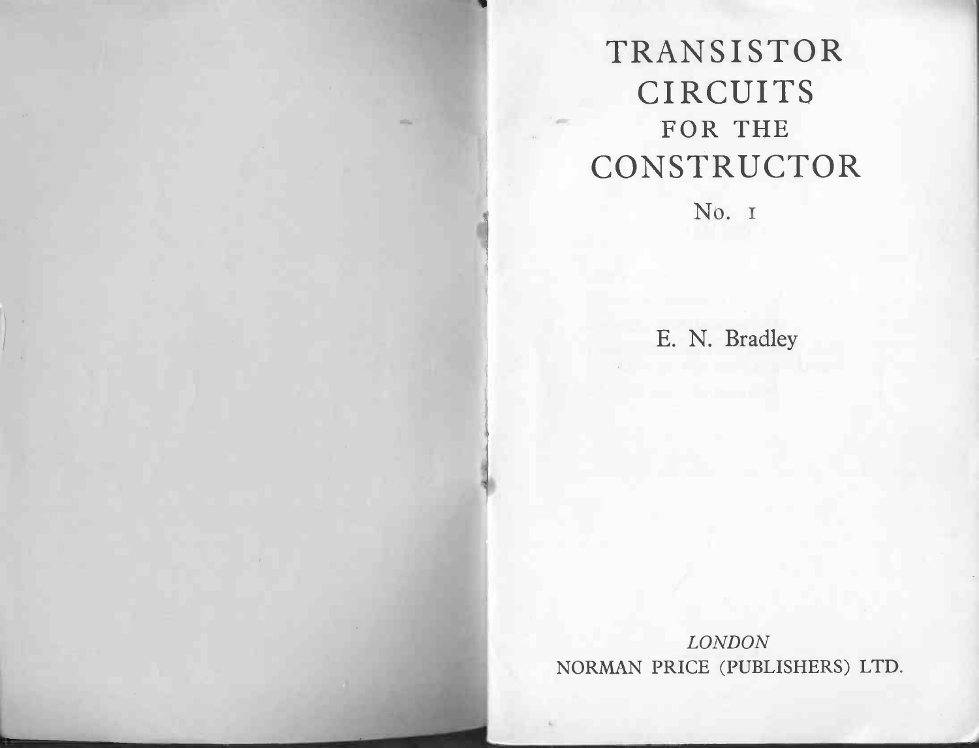# TRANSISTOR **RANSISTC**<br>CIRCUITS **ANSIST<br>IRCUIT<br>FOR THE** FOR THE CONSTRUCTOR

No. 1

E. N. Bradley

LONDON NORMAN PRICE (PUBLISHERS) LTD.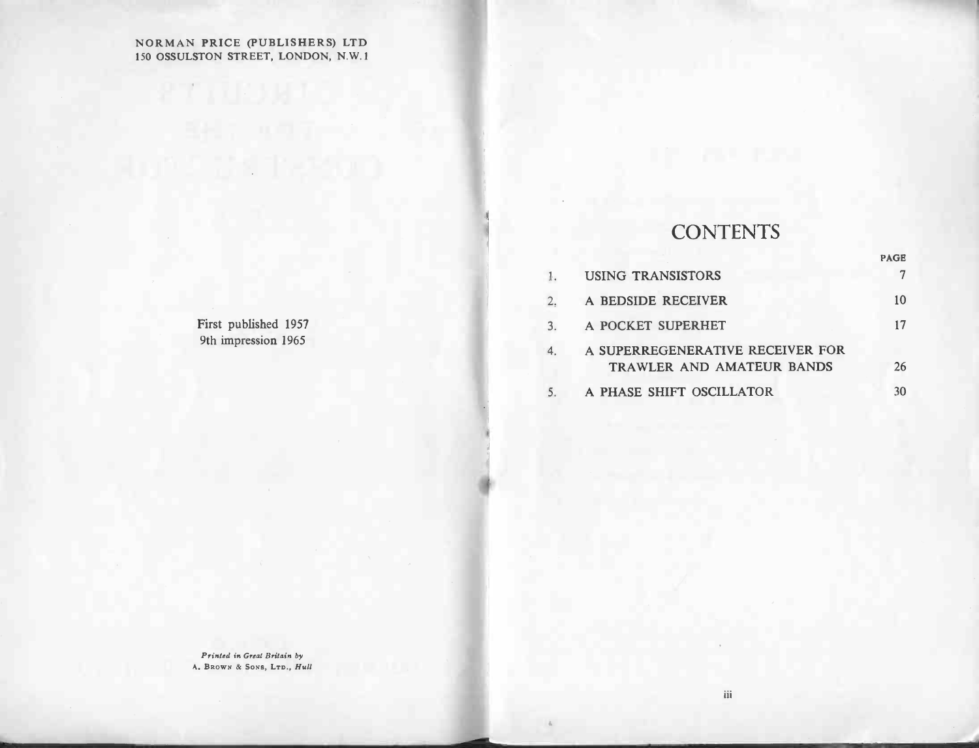## .<br>NORMAN PRICE (PUBLISHERS) LTD 150 ORMAN PRICE (PUBLISHERS) LTD<br>150 OSSULSTON STREET, LONDON, N.W.1

|                                                            |      | n an na                                                       |                |
|------------------------------------------------------------|------|---------------------------------------------------------------|----------------|
|                                                            |      |                                                               |                |
|                                                            |      |                                                               |                |
|                                                            |      | <b>CONTENTS</b>                                               |                |
|                                                            |      |                                                               | PAGE           |
|                                                            | $1.$ | <b>USING TRANSISTORS</b>                                      | $\overline{7}$ |
|                                                            | 2.   | A BEDSIDE RECEIVER                                            | 10             |
| First published 1957                                       | 3.   | A POCKET SUPERHET                                             | 17             |
| 9th impression 1965                                        | 4.   | A SUPERREGENERATIVE RECEIVER FOR<br>TRAWLER AND AMATEUR BANDS | 26             |
|                                                            | 5.   | A PHASE SHIFT OSCILLATOR                                      | 30             |
|                                                            |      |                                                               |                |
|                                                            |      |                                                               |                |
|                                                            |      |                                                               |                |
|                                                            |      |                                                               |                |
|                                                            |      |                                                               |                |
|                                                            |      |                                                               |                |
|                                                            |      |                                                               |                |
|                                                            |      |                                                               |                |
|                                                            |      |                                                               |                |
|                                                            |      |                                                               |                |
|                                                            |      |                                                               |                |
| Printed in Great Britain by<br>A. BROWN & SONS, LTD., Hull |      |                                                               |                |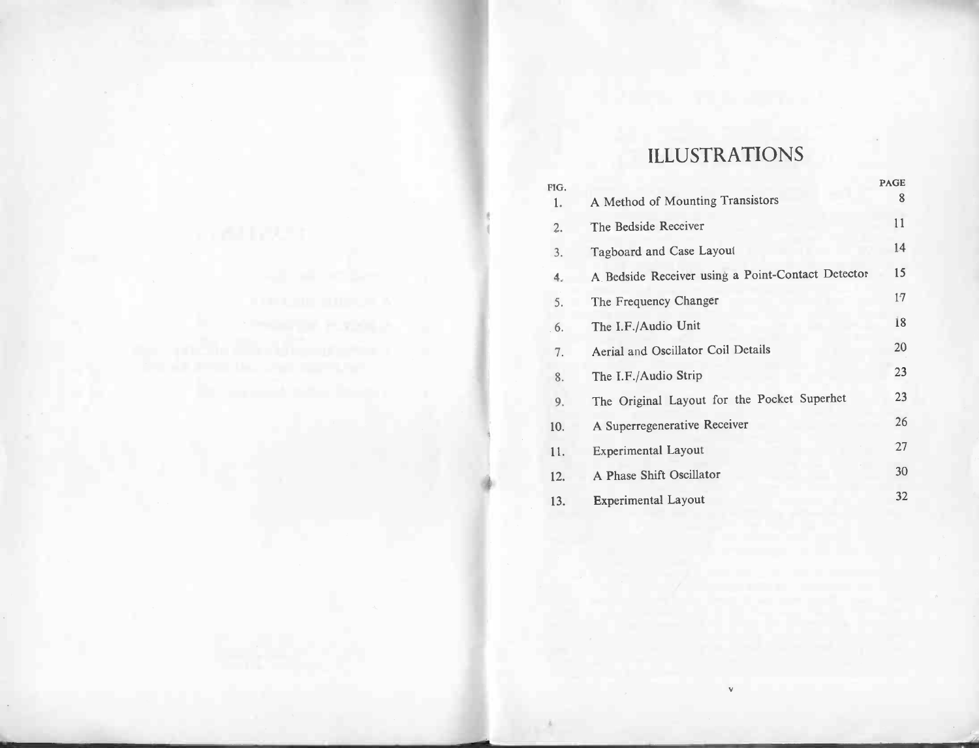# ILLUSTRATIONS

|            | <b>ILLUSTRATIONS</b>                              |             |
|------------|---------------------------------------------------|-------------|
|            |                                                   | <b>PAGE</b> |
| FIG.<br>1. | A Method of Mounting Transistors                  | 8           |
| 2.         | The Bedside Receiver                              | 11          |
| 3.         | Tagboard and Case Layout                          | 14          |
| $\ddot{4}$ | A Bedside Receiver using a Point-Contact Detector | 15          |
| 5.         | The Frequency Changer                             | 17          |
| 6.         | The I.F./Audio Unit                               | 18          |
| 7.         | Aerial and Oscillator Coil Details                | 20          |
| 8.         | The I.F./Audio Strip                              | 23          |
| 9.         | The Original Layout for the Pocket Superhet       | 23          |
| 10.        | A Superregenerative Receiver                      | 26          |
| 11.        | <b>Experimental Layout</b>                        | 27          |
| 12.        | A Phase Shift Oscillator                          | 30          |
| 13.        | <b>Experimental Layout</b>                        | 32          |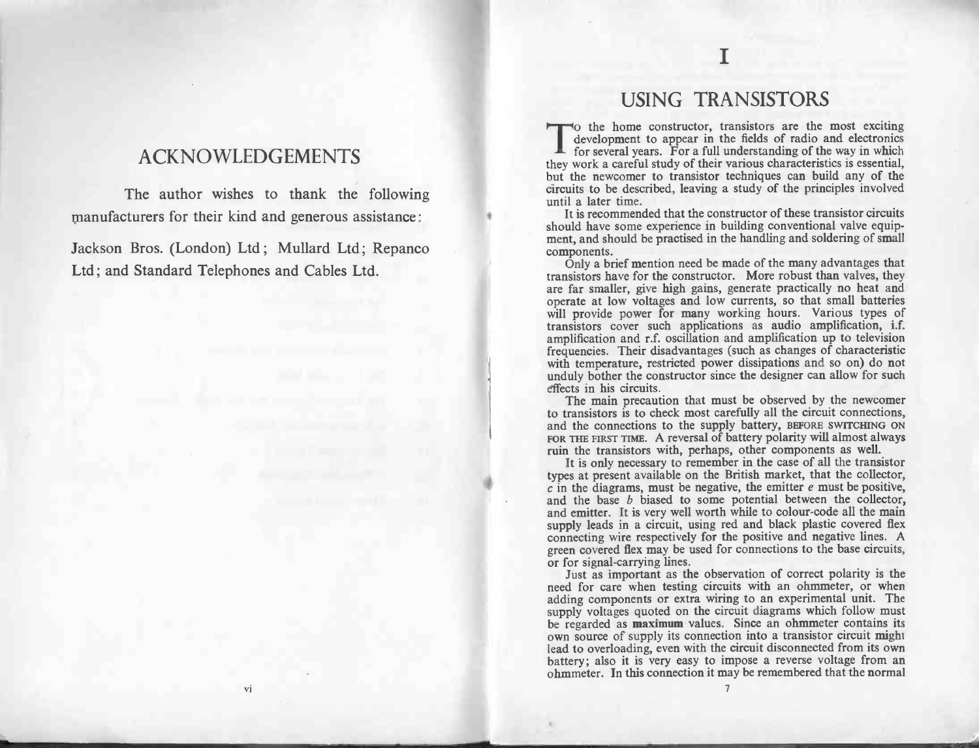## ACKNOWLEDGEMENTS

The author wishes to thank the following manufacturers for their kind and generous assistance : The author wishes to thank the following<br>manufacturers for their kind and generous assistance:<br>Jackson Bros. (London) Ltd; Mullard Ltd; Repanco

Jackson Bros. (London) Ltd; Mullard Ltd; F<br>Ltd; and Standard Telephones and Cables Ltd.

## USING TRANSISTORS

I

To the home constructor, transistors are the most exciting development to appear in the fields of radio and electronics USING TRANSISTORS<br>o the home constructor, transistors are the most exciting<br>development to appear in the fields of radio and electronics<br>for several years. For a full understanding of the way in which To the home constructor, transistors are the most exciting development to appear in the fields of radio and electronics for several years. For a full understanding of the way in which they work a careful study of their var Collie hold construction, transistors are the most exchanged development to appear in the fields of radio and electronics for several years. For a full understanding of the way in which they work a careful study of their v

should have some experience in building conventional valve equip-<br>should have some experience in building conventional valve equip-It is recommended that the constructor of these transistor circuits<br>should have some experience in building conventional valve equip-<br>ment, and should be practised in the handling and soldering of small ment, and should be practised in the handling and soldering of small<br>components.<br>Only a brief mention need be made of the many advantages that It is recommended that the constructor of these transistor circuits<br>should have some experience in building conventional valve equip-<br>ment, and should be practised in the handling and soldering of smal<br>components.<br>Only a b

should have some experience in bunding conventional valve equipment, and should be practised in the handling and soldering of small<br>components. Only a brief mention need be made of the many advantages that<br>transistors have components.<br>
Only a brief mention need be made of the many advantages that<br>
transistors have for the constructor. More robust than valves, they<br>
are far smaller, give high gains, generate practically no heat and<br>
operate a transistors have for the constructor. More robust than valves, they are far smaller, give high gains, generate practically no heat and operate at low voltages and low currents, so that small batteries will provide power fo operate at low voltages and low currents, so that small batteries<br>will provide power for many working hours. Various types of<br>transistors cover such applications as audio amplification, i.f.<br>amplification and r.f. oscillat with temperature, restricted power dissipations and so on) do not<br>unduly bother the constructor since the designer can allow for such<br>effects in his circuits.<br>The main precaution that must be observed by the newcomer amplineation and 1.1. oscillation and amplineation up to tetrosion<br>frequencies. Their disadvantages (such as changes of characteristic<br>with temperature, restricted power dissipations and so on) do not<br>unduly bother the con

effects in his circuits.<br>The main precaution that must be observed by the newcomer<br>to transistors is to check most carefully all the circuit connections, The main precaution that must be observed by the newcomer<br>to transistors is to check most carefully all the circuit connections,<br>and the connections to the supply battery, BEFORE SWITCHING ON<br>FOR THE FIRST TIME. A reversal and the connections to the supply battery, BEFORE SWITCHING ON FOR THE FIRST TIME. A reversal of battery polarity will almost always ruin the transistors with, perhaps, other components as well. It is only necessary to rem

1

It is only necessary to remember in the case of all the transistor  $c$  in the diagrams, must be negative, the emitter  $e$  must be positive, and the base  $b$  biased to some potential between the collector, It is only necessary to remember in the case of all the transistor<br>It is only necessary to remember in the case of all the transistor<br>types at present available on the British market, that the collector,<br>c in the diagrams Fraction the transistors with, perhaps, other components as well.<br>It is only necessary to remember in the case of all the transistor<br>types at present available on the British market, that the collector<br> $c$  in the diagrams and the base  $b$  biased to some potential between the collector, and emitter. It is very well worth while to colour-code all the main supply leads in a circuit, using red and black plastic covered flex connecting wire res supply leads in a circuit, using red and black plastic covered flex<br>connecting wire respectively for the positive and negative lines. A<br>green covered flex may be used for connections to the base circuits,<br>or for signal-car

Just as important as the observation of correct polarity is the need for care when testing circuits with an ohmmeter, or when adding components or extra wiring to an experimental unit. The supply voltages quoted on the cir supply voltages quoted on the circuit diagrams which follow must<br>be regarded as **maximum** values. Since an ohmmeter contains its<br>own source of supply its connection into a transistor circuit might<br>lead to overloading, even heed for care when testing chemis with an onfinitect, or when<br>adding components or extra wiring to an experimental unit. The<br>supply voltages quoted on the circuit diagrams which follow must<br>be regarded as **maximum** values. battery; also it is very easy to impose a reverse voltage from an ohmmeter. In this connection it may be remembered that the normal

vi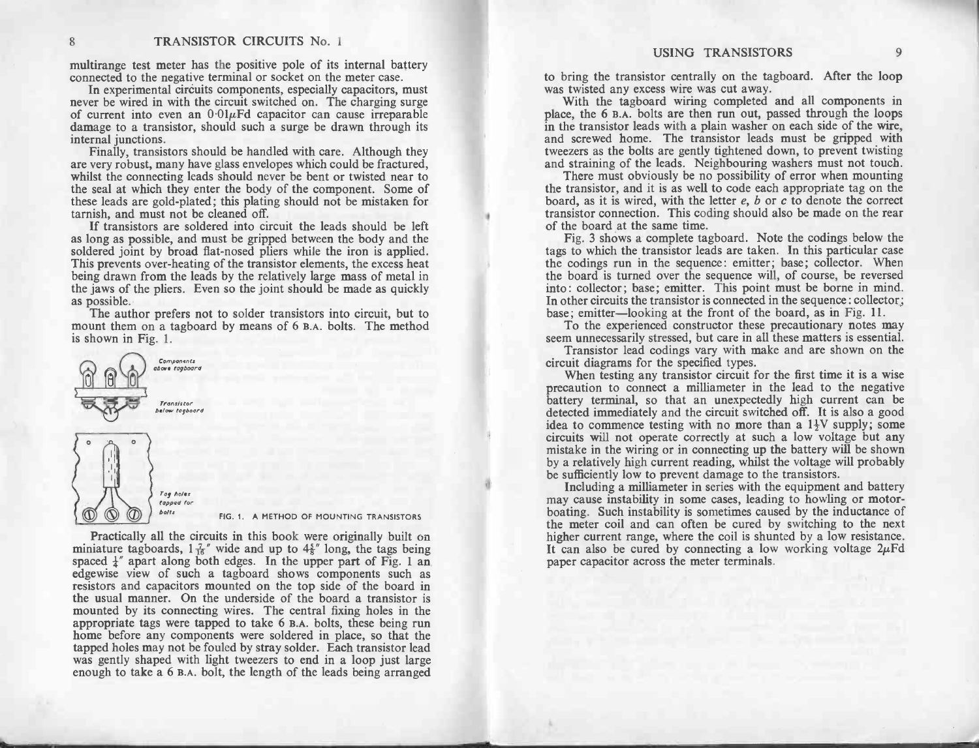multirange test meter has the positive pole of its internal battery connected to the negative terminal or socket on the meter case.<br>In experimental circuits components, especially capacitors, must

multirange test meter has the positive pole of its internal battery<br>connected to the negative terminal or socket on the meter case.<br>In experimental circuits components, especially capacitors, must<br>never be wired in with t In experimental circuits components, especially capacitors, must<br>never be wired in with the circuit switched on. The charging surge<br>of current into even an  $0.01\mu$ Fd capacitor can cause irreparable<br>damage to a transistor

damage to a transistor, should such a surge be drawn through its<br>internal junctions.<br>Finally, transistors should be handled with care. Although they<br>are very robust, many have glass envelopes which could be fractured,<br>whil Finally, transistors should be handled with care. Although they are very robust, many have glass envelopes which could be fractured, whilst the connecting leads should never be bent or twisted near to the seal at which the are very robust, many have glass envelopes which could be fractured,<br>whilst the connecting leads should never be bent or twisted near to<br>the seal at which they enter the body of the component. Some of<br>these leads are goldtarnish, and must not be cleaned off.<br>If transistors are soldered into circuit the leads should be left these leads are gold-plated; this plating should not be mistaken for the seal at which they enter the body of the component. Some of these leads are gold-plated; this plating should not be mistaken for tarnish, and must not be cleaned off. If transistors are soldered into circuit the leads

If transistors are soldered into circuit the leads should be left<br>as long as possible, and must be gripped between the body and the<br>soldered joint by broad flat-nosed pliers while the iron is applied.<br>This prevents over-he soldered joint by broad flat-nosed pliers while the iron is applied.<br>This prevents over-heating of the transistor elements, the excess heat being drawn from the leads by the relatively large mass of metal in It transistors are soluted into circuit the leads should be left<br>as long as possible, and must be gripped between the body and the<br>soldered joint by broad flat-nosed pliers while the iron is applied.<br>This prevents over-hea soldered joint by broad flat-nosed pliers while the iron is applied.<br>This prevents over-heating of the transistor elements, the excess heat<br>being drawn from the leads by the relatively large mass of metal in<br>the jaws of th I his prevents over-heating of the transistor elements, the excess heat<br>being drawn from the leads by the relatively large mass of metal in<br>the jaws of the pliers. Even so the joint should be made as quickly<br>as possible.<br>T

The author prefers not to solder transistors into circuit, but to mount them on a tagboard by means of 6 B.A. bolts. The method is shown in Fig. 1.



*tapped for*<br>bolts FIG. 1. A METHOD OF MOUNTING TRANSISTORS

Practically all the circuits in this book were originally built on Practically all the circuits in this book were originally built on<br>miniature tagboards,  $1\frac{7}{16}$ " wide and up to  $4\frac{5}{8}$ " long, the tags being<br>spaced  $\frac{1}{4}$ " apart along both edges. In the upper part of Fig. 1 an spaced  $\frac{1}{4}$ " apart along both edges. In the upper part of Fig. 1 and edgewise view of such a tagboard shows components such as resistors and capacitors mounted on the top side of the board in the usual manner. On the resistors and capacitors mounted on the top side of the board in the usual manner. On the underside of the board a transistor is mounted by its connecting wires. The central fixing holes in the appropriate tags were tapped mounted by its connecting wires. The central fixing holes in the appropriate tags were tapped to take  $6$  B.A. bolts, these being run home before any components were soldered in place, so that the tapped holes may not be TRANSITOR CIRCUITS No. 3<br>
16. 1983-1970 CIRCUITS No. 3<br>
16. 1983-1970 CIRCUITS No. 3<br>
16. 1982-1982 CIRCUITS No. 3<br>
16. 1992-1992 CIRCUITS No. 3<br>
16. 1992-1992 CIRCUITS No. 3<br>
16. 1992-1992 CIRCUITS NORTHWEIGH CONSULTS NO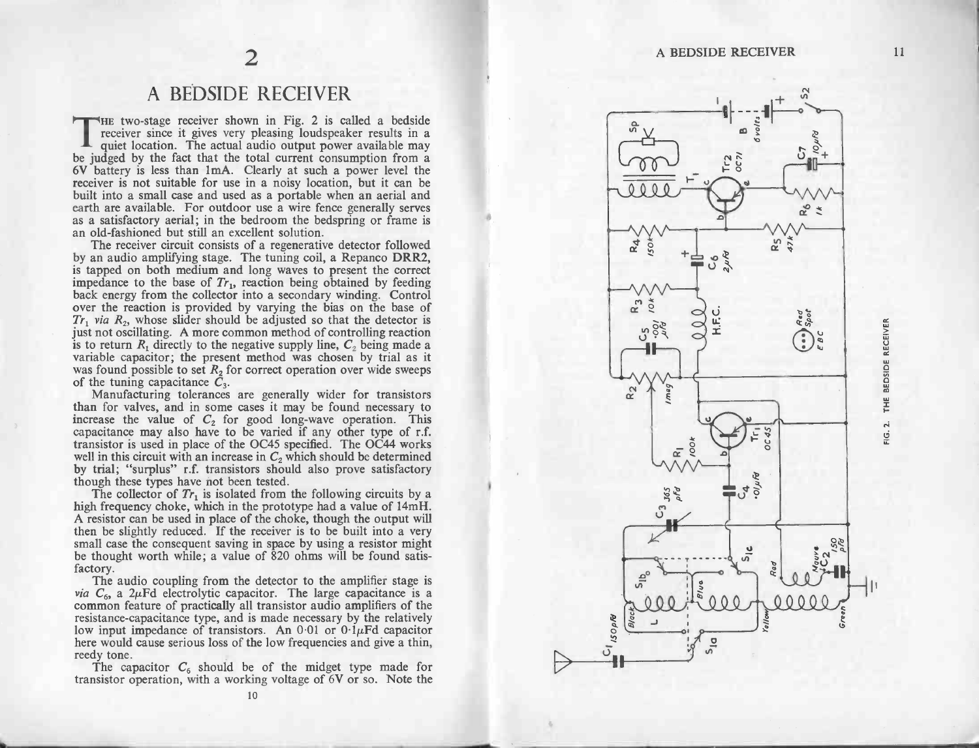# A BEDSIDE RECEIVER

THE THE TWO-STAGE RECEIVER<br>THE two-stage receiver shown in Fig. 2 is called a bedside A BEDSIDE RECEIVER<br>HE two-stage receiver shown in Fig. 2 is called a bedside<br>receiver since it gives very pleasing loudspeaker results in a A BEDSIDE RECEIVER<br>HE two-stage receiver shown in Fig. 2 is called a bedside<br>receiver since it gives very pleasing loudspeaker results in a<br>quiet location. The actual audio output power available may<br>be judged by the fact 6V battery is less than 1mA. Clearly at such a power level the receiver is not suitable for use in a noisy location, but it can be built into a small case and used as a portable when an aerial and earth are available. For as a satisfactory aerial; in the bedroom the bedspring or frame is

i

The receiver circuit consists of a regenerative detector followed<br>by an audio amplifying stage. The tuning coil, a Repanco DRR2, as a satisfactory aerial; in the bedroom the bedspring or frame is<br>an old-fashioned but still an excellent solution.<br>The receiver circuit consists of a regenerative detector followed<br>by an audio amplifying stage. The tuni It is tapped on both incurrent and tong waves to present the correct<br>impedance to the base of  $Tr_1$ , reaction being obtained by feeding<br>back energy from the collector into a secondary winding. Control<br>over the reaction is back energy from the collector into a secondary winding. Control<br>over the reaction is provided by varying the bias on the base of<br> $Tr_1$  via  $R_2$ , whose slider should be adjusted so that the detector is<br>just not oscillati just not oscillating. A more common method of controlling reaction<br>is to return  $R_1$  directly to the negative supply line,  $C_2$  being made a<br>variable capacitor; the present method was chosen by trial as it<br>was found pos is to return  $R_1$  directly to the negative supply line,  $C_2$  being made a variable capacitor; the present method was chosen by trial as it was found possible to set  $R_2$  for correct operation over wide sweeps of the tu

manuaturing tocrances are generally which for transistors<br>than for valves, and in some cases it may be found necessary to<br>increase the value of  $C_2$  for good long-wave operation. This<br>capacitance may also have to be vari isistor is used in place of the OC45 specified. The OC44 works<br>in this circuit with an increase in  $C_2$  which should be determined<br>trial; "surplus" r.f. transistors should also prove satisfactory<br>ugh these types have not

though these types have not been tested.<br>The collector of  $Tr_1$  is isolated from the following circuits by a<br>high frequency choke, which in the prototype had a value of 14mH. The collector of  $Tr_1$  is isolated from the following circuits by a high frequency choke, which in the prototype had a value of 14mH. A resistor can be used in place of the choke, though the output will by trial; "surplus" r.f. transistors should also prove satisfactory<br>though these types have not been tested.<br>The collector of  $Tr_1$  is isolated from the following circuits by a<br>high frequency choke, which in the prototype A resistor can be used in place of the choke, though the output will<br>then be slightly reduced. If the receiver is to be built into a very<br>small case the consequent saving in space by using a resistor might<br>be thought worth factory.<br>Small case the consequent saving in space by using a resistor might<br>be thought worth while; a value of 820 ohms will be found satis-<br>factory.<br>The audio coupling from the detector to the amplifier stage is<br> $via C_6$ ,

Frequence is a common feature of procedure and is made of the amplifier stage is via  $C_6$ , a 2 $\mu$ Fd electrolytic capacitor. The large capacitance is a common feature of practically all transistor audio amplifiers of the resistance-capacitance type, and is made necessary by the relatively<br>low input impedance of transistors. An 0.01 or 0.1 $\mu$ Fd capacitor<br>here would cause serious loss of the low frequencies and give a thin, resistance-capacitance type, and is made necessary by the relatively<br>low input impedance of transistors. An 0.01 or  $0.1\mu$ Fd capacitor<br>here would cause serious loss of the low frequencies and give a thin,<br>reedy tone.<br>The

e<br>:i1<br>10

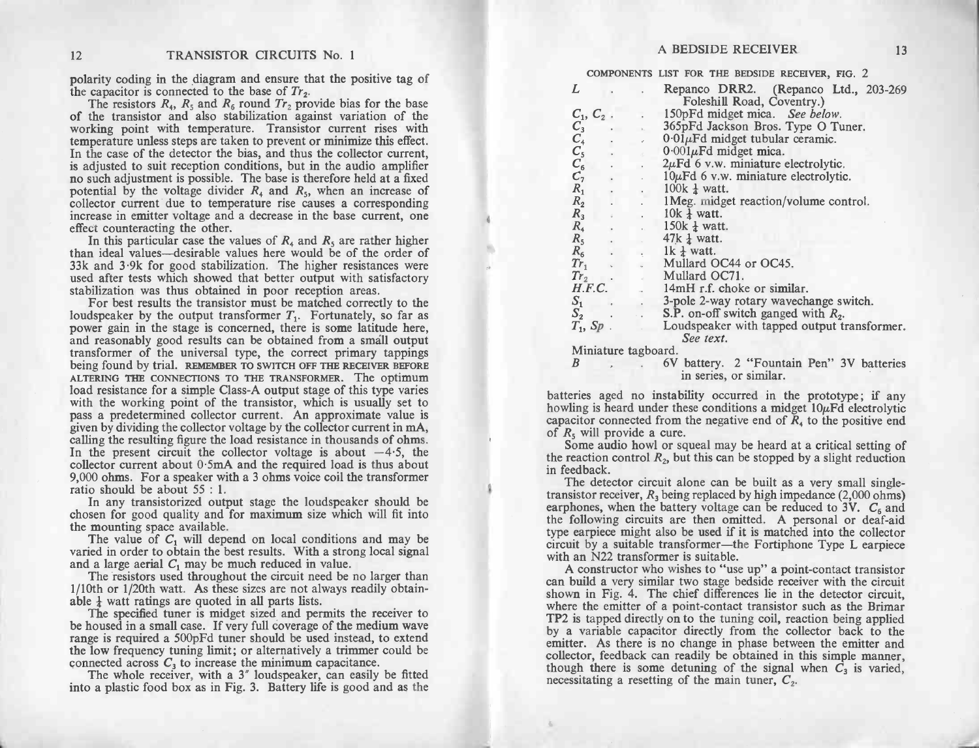12 TRANSISTOR CIRCUITS No. 1<br>polarity coding in the diagram and ensure that the positive tag of 12 TRANSISTOR CIRCUIT<br>polarity coding in the diagram and ensure the capacitor is connected to the base of  $Tr_2$ .

TRANSISTOR CIRCUITS No. 1<br>polarity coding in the diagram and ensure that the positive tag of<br>the capacitor is connected to the base of  $Tr_2$ .<br>The resistors  $R_4$ ,  $R_5$  and  $R_6$  round  $Tr_2$  provide bias for the base<br>of t polarity coding in the diagram and ensure that the positive tag of<br>the capacitor is connected to the base of  $Tr_2$ .<br>The resistors  $R_4$ ,  $R_5$  and  $R_6$  round  $Tr_2$  provide bias for the base<br>of the transistor and also sta working point with temperature. Transistor current rises with<br>temperature unless steps are taken to prevent or minimize this effect.<br>In the case of the detector the bias, and thus the collector current,<br>is adjusted to suit working point with temperature. Transistor current rises with temperature unless steps are taken to prevent or minimize this effect. In the case of the detector the bias, and thus the collector current, is adjusted to suit mortaing bond with dimension conduction in the voltage divider and the voltage divider and the collector current, is adjusted to suit reception conditions, but in the audio amplifier no such adjustment is possible. The ba is adjusted to suit reception conditions, but in the audio amplifier<br>no such adjustment is possible. The base is therefore held at a fixed<br>potential by the voltage divider  $R_4$  and  $R_5$ , when an increase of<br>collector cu In this particular case the values of R4 and R<sub>5</sub>, when an increase of potential by the voltage divider  $R_4$  and  $R_5$ , when an increase of collector current due to temperature rise causes a corresponding effect countera

collector current due to temperature rise causes a corresponding<br>increase in emitter voltage and a decrease in the base current, one<br>effect counteracting the other.<br>In this particular case the values of  $R_4$  and  $R_5$  ar than ideal values—desirable values here would be of the order of  $33k$  and  $3.9k$  for good stabilization. The higher resistances were used after tests which showed that better output with satisfactory stabilization was th SSN and 3.3K for good stabilization. The higher resistances were<br>used after tests which showed that better output with satisfactory<br>stabilization was thus obtained in poor reception areas.<br>For best results the transistor

For best results the transistor must be matched correctly to the loudspeaker by the output transformer  $T_1$ . Fortunately, so far as power gain in the stage is concerned, there is some latitude here, and reasonably good r and reasonably good results can be obtained from a small output transformer of the universal type, the correct primary tappings being found by trial. REMEMBER TO SWITCH OFF THE RECEIVER BEFORE ALTERING THE CONNECTIONS TO T peing found by that. REMEMBER TO SWITCH OFF THE RECEIVER BEFORE<br>ALTERING THE CONNECTIONS TO THE TRANSFORMER. The optimum<br>load resistance for a simple Class-A output stage of this type varies<br>with the working point of the t load resistance for a simple Class-A output stage of this type varies<br>with the working point of the transistor, which is usually set to<br>pass a predetermined collector current. An approximate value is<br>given by dividing the calling the resulting figure the load resistance in thousands of ohms.<br>In the present circuit the collector voltage is about  $-4.5$ , the<br>collector current about  $0.5 \text{mA}$  and the required load is thus about<br>9,000 ohms. F ratio should be about 0.5m.<br>9,000 ohms. For a speaker w<br>ratio should be about 55 : 1. In the present circuit the collector voltage is about  $-4.5$ , the collector current about 0.5mA and the required load is thus about 9,000 ohms. For a speaker with a 3 ohms voice coil the transformer ratio should be about

Fractio should be about 55 : 1.<br>
In any transistorized output stage the loudspeaker should be<br>
chosen for good quality and for maximum size which will fit into<br>
the mounting space available.<br>
The value of  $C_1$  will depen

The best results. With a strong local signal the mounting space available.<br>The value of  $C_1$  will depend on local conditions and may be waried in order to obtain the best results. With a strong local signal and a large a

varied in order to obtain the best results. With a strong local signal<br>and a large aerial  $C_1$  may be much reduced in value.<br>The resistors used throughout the circuit need be no larger than<br>1/10th or 1/20th watt. As thes waried in order to obtain the best results. With a strong local signal<br>and a large aerial  $C_1$  may be much reduced in value.<br>The resistors used throughout the circuit need be no larger than<br> $1/10$ th or  $1/20$ th watt. As

The resistors used throughout the circuit need be no larger than  $1/10$ th or  $1/20$ th watt. As these sizes are not always readily obtainable  $\frac{1}{4}$  watt ratings are quoted in all parts lists.<br>The specified tuner is mid Able  $\frac{1}{4}$  watt ratings are quoted in all parts lists.<br>The specified tuner is midget sized and permits the receiver to<br>be housed in a small case. If very full coverage of the medium wave<br>range is required a 500pFd tun be housed in a small case. If very full coverage of the medium wave<br>range is required a 500pFd tuner should be used instead, to extend<br>the low frequency tuning limit; or alternatively a trimmer could be<br>connected across

The whole receiver, with a 3" loudspeaker, can easily be fitted into a plastic food box as in Fig. 3. Battery life is good and as the

| A BEDSIDE RECEIVER<br>13                                                                                                                                                                                                                                                                                                                                                                                                                                                                                                                                                                                                                                                                                                                                     |  |
|--------------------------------------------------------------------------------------------------------------------------------------------------------------------------------------------------------------------------------------------------------------------------------------------------------------------------------------------------------------------------------------------------------------------------------------------------------------------------------------------------------------------------------------------------------------------------------------------------------------------------------------------------------------------------------------------------------------------------------------------------------------|--|
| COMPONENTS LIST FOR THE BEDSIDE RECEIVER, FIG. 2                                                                                                                                                                                                                                                                                                                                                                                                                                                                                                                                                                                                                                                                                                             |  |
| L<br>Repanco DRR2. (Repanco Ltd., 203-269)<br>Foleshill Road, Coventry.)<br>$C_1, C_2$ .<br>150pFd midget mica. See below.<br>$C_3^1$<br>$C_4^2$<br>$C_5^5$<br>$C_6^6$<br>365pFd Jackson Bros. Type O Tuner.<br>$0.01 \mu$ Fd midget tubular ceramic.<br>$0.001\mu$ Fd midget mica.<br>$2\mu$ Fd 6 v.w. miniature electrolytic.<br>$10\mu$ Fd 6 v.w. miniature electrolytic.                                                                                                                                                                                                                                                                                                                                                                                 |  |
| $R_{1}$<br>$100k \frac{1}{4}$ watt.<br>٠<br>$R_{2}$<br>1 Meg. midget reaction/volume control.                                                                                                                                                                                                                                                                                                                                                                                                                                                                                                                                                                                                                                                                |  |
| $R_3$<br>$10k \frac{1}{4}$ watt.<br>$\tilde{a}$ , $\tilde{a}$ , $\tilde{a}$<br>$150k \frac{1}{4}$ watt.<br>$R_4$<br>$\sim$<br>$R_5$<br>$47k \frac{1}{4}$ watt.                                                                                                                                                                                                                                                                                                                                                                                                                                                                                                                                                                                               |  |
| $1k \frac{1}{4}$ watt.<br>$R_6$<br>$Tr_1$<br>Mullard OC44 or OC45.<br>Tr <sub>2</sub><br>Mullard OC71.<br>$\sim$<br>H.F.C.<br>14mH r.f. choke or similar.<br>$S_1$<br>. 3-pole 2-way rotary wavechange switch.<br>S.P. on-off switch ganged with $R_2$ .<br>$S_{2}$<br>$T_1$ , $Sp$ .<br>Loudspeaker with tapped output transformer.<br>$\sim$ $-$<br>See text.                                                                                                                                                                                                                                                                                                                                                                                              |  |
| Miniature tagboard.<br>6V battery. 2 "Fountain Pen" 3V batteries<br>B<br>in series, or similar.                                                                                                                                                                                                                                                                                                                                                                                                                                                                                                                                                                                                                                                              |  |
| batteries aged no instability occurred in the prototype; if any<br>howling is heard under these conditions a midget $10\mu$ Fd electrolytic<br>capacitor connected from the negative end of $R4$ to the positive end                                                                                                                                                                                                                                                                                                                                                                                                                                                                                                                                         |  |
| of $R_5$ will provide a cure.<br>Some audio howl or squeal may be heard at a critical setting of<br>the reaction control $R_2$ , but this can be stopped by a slight reduction<br>in feedback.                                                                                                                                                                                                                                                                                                                                                                                                                                                                                                                                                               |  |
| The detector circuit alone can be built as a very small single-<br>transistor receiver, $R_3$ being replaced by high impedance (2,000 ohms)<br>earphones, when the battery voltage can be reduced to 3V. $C_6$ and<br>the following circuits are then omitted. A personal or deaf-aid                                                                                                                                                                                                                                                                                                                                                                                                                                                                        |  |
| type earpiece might also be used if it is matched into the collector<br>circuit by a suitable transformer—the Fortiphone Type L earpiece<br>with an N22 transformer is suitable.<br>A constructor who wishes to "use up" a point-contact transistor<br>can build a very similar two stage bedside receiver with the circuit<br>shown in Fig. 4. The chief differences lie in the detector circuit,<br>where the emitter of a point-contact transistor such as the Brimar<br>TP2 is tapped directly on to the tuning coil, reaction being applied<br>by a variable capacitor directly from the collector back to the<br>emitter. As there is no change in phase between the emitter and<br>collector, feedback can readily be obtained in this simple manner, |  |
| though there is some detuning of the signal when $C_3$ is varied,<br>necessitating a resetting of the main tuner, $C_2$ .                                                                                                                                                                                                                                                                                                                                                                                                                                                                                                                                                                                                                                    |  |

4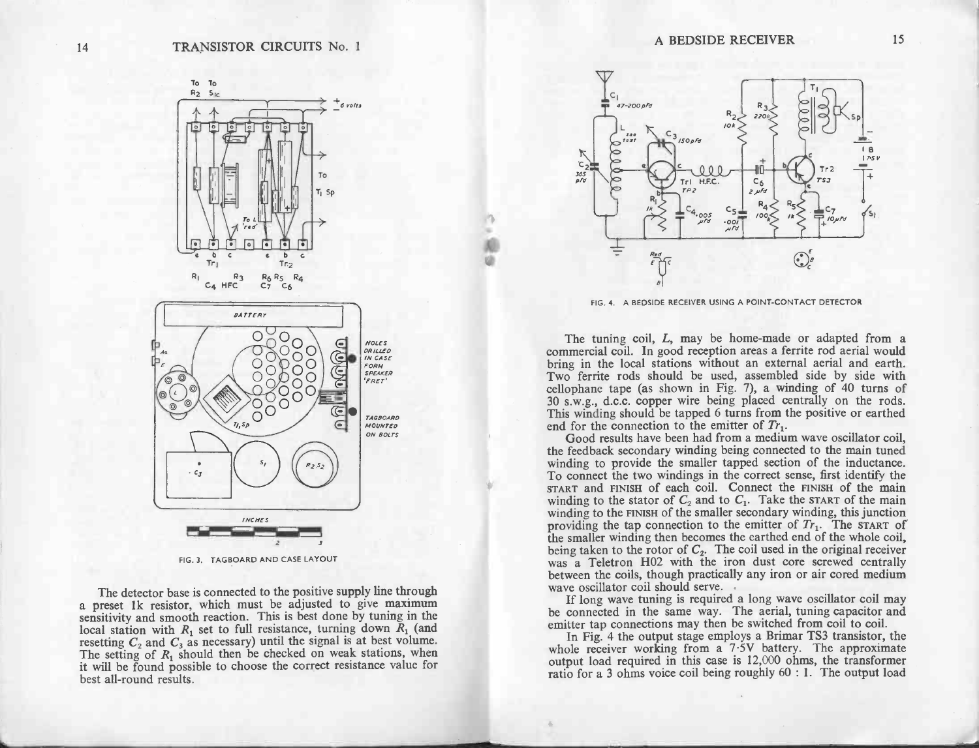

FIG. 3. TAGBOARD AND CASE LAYOUT

The detector base is connected to the positive supply line through<br>a preset 1k resistor, which must be adjusted to give maximum FIG. 3. TAGBOARD AND CASE LAYOUT<br>The detector base is connected to the positive supply line through<br>a preset 1k resistor, which must be adjusted to give maximum<br>sensitivity and smooth reaction. This is best done by tuning The detector base is connected to the positive supply line through<br>a preset 1k resistor, which must be adjusted to give maximum<br>sensitivity and smooth reaction. This is best done by tuning in the<br>local station with  $R_1$  local station with  $R_1$  set to full resistance, turning down  $R_1$  (and resetting  $C_2$  and  $C_3$  as necessary) until the signal is at best volume. The setting of  $R_1$  should then be checked on weak stations, when it wi



4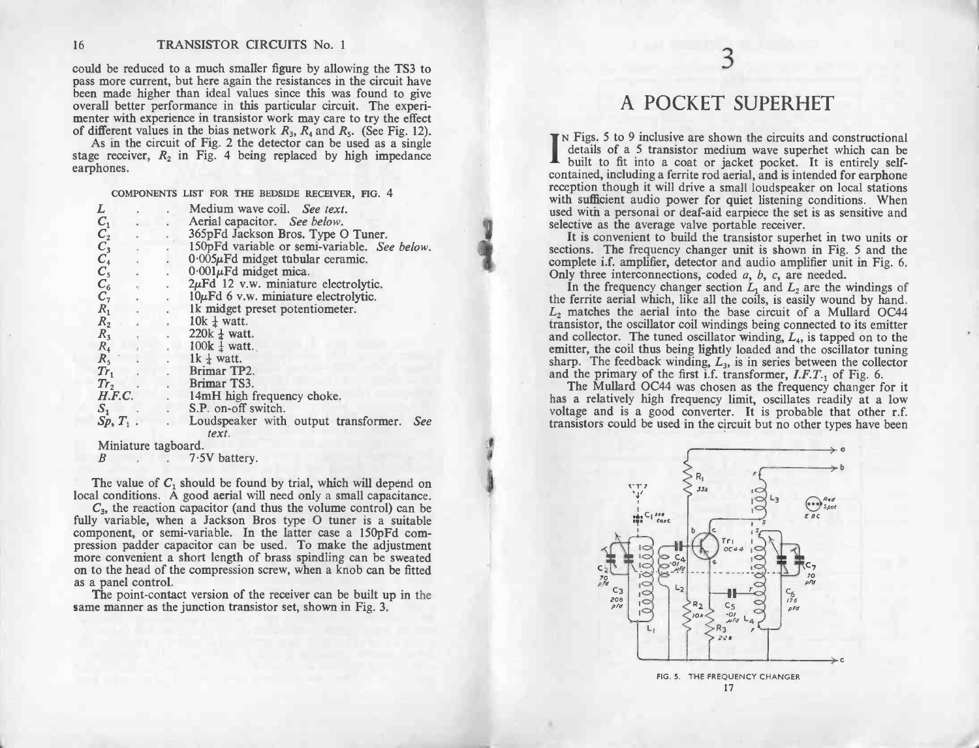could be reduced to a much smaller figure by allowing the TS3 to pass more current, but here again the resistances in the circuit have been made higher than ideal values since this was found to give<br>overall better performance in this particular circuit. The experi-<br>menter with experience in transistor work may care to try the effect<br>of different values i stable better performance in this particular circuit. The experimenter with experience in transistor work may care to try the effect of different values in the bias network  $R_3$ ,  $R_4$  and  $R_5$ . (See Fig. 12). As in the

As in the circuit of Fig. 2 the detector can be used as a single As in the circuit of Fig. 2 the detector can be used as a<br>stage receiver,  $R_2$  in Fig. 4 being replaced by high imparphones.<br>COMPONENTS LIST FOR THE BEDSIDE RECEIVER, FIG. 4

|                                           |                     |                      | COMPONENTS LIST FOR THE BEDSIDE RECEIVER, FIG. 4     |
|-------------------------------------------|---------------------|----------------------|------------------------------------------------------|
| L                                         |                     |                      | Medium wave coil. See text.                          |
|                                           |                     |                      | Aerial capacitor. See below.                         |
| $C_{1}^{1}$<br>$C_{2}^{2}$<br>$C_{3}^{3}$ |                     |                      | 365pFd Jackson Bros. Type O Tuner.                   |
|                                           |                     |                      | 150pFd variable or semi-variable. See below.         |
|                                           |                     |                      | $0.005\mu$ Fd midget tubular ceramic.                |
|                                           |                     |                      | $0.001\mu$ Fd midget mica.                           |
|                                           | ×,                  |                      | $2\mu$ Fd 12 v.w. miniature electrolytic.            |
| $C_{5}^{5}$<br>$C_{6}^{6}$                |                     | $\ddot{\phantom{0}}$ | $10\mu$ Fd 6 v.w. miniature electrolytic.            |
| $R_1$                                     |                     |                      | 1k midget preset potentiometer.                      |
| $R_{2}$                                   |                     |                      | 10 $k \frac{1}{4}$ watt.                             |
| $R_3$                                     |                     |                      | 220 $k \frac{1}{4}$ watt.                            |
| $R_4$                                     |                     |                      | $100k \frac{1}{4}$ watt.                             |
| $R_{5}$                                   |                     |                      | 1k $\frac{1}{4}$ watt.                               |
| $Tr_1$                                    |                     |                      | Brimar TP2.                                          |
| Tr <sub>2</sub>                           |                     |                      | . Brimar TS3.                                        |
|                                           | H.F.C.              |                      | . 14mH high frequency choke.                         |
| $S_{1}$                                   |                     |                      | . S.P. on-off switch.                                |
|                                           | $Sp, T_1$ .         |                      | Loudspeaker with output transformer.<br>See<br>text. |
|                                           | Miniature tagboard. |                      |                                                      |
| B                                         |                     |                      | 7.5V battery.                                        |

The value of  $C_1$  should be found by trial, which will depend on The value of  $C_1$  should be found by trial, which will depend on local conditions. A good aerial will need only a small capacitance.

Example 19 The value of  $C_1$  should be found by trial, which will depend on local conditions. A good aerial will need only a small capacitance.<br>  $C_3$ , the reaction capacitor (and thus the volume control) can be fully va local conditions. A good aerial will need only a small capacitance.<br>  $C_3$ , the reaction capacitor (and thus the volume control) can be<br>
fully variable, when a Jackson Bros type O tuner is a suitable<br>
component, or semi-v local conditions. A good aerial will need only a small capacitance.<br>  $C_3$ , the reaction capacitor (and thus the volume control) can be fully variable, when a Jackson Bros type O tuner is a suitable<br>
component, or semi-va  $C_3$ , the reaction capacitor (and thus the volume control) can be fully variable, when a Jackson Bros type O tuner is a suitable component, or semi-variable. In the latter case a 150pFd compression padder capacitor can b more convenient a short length of brass spindling can be sweated<br>on to the head of the compression screw, when a knob can be fitted<br>as a panel control. Sion padder capacitor can be used. To make the adjustment<br>The convenient a short length of brass spindling can be sweated<br>to the head of the compression screw, when a knob can be fitted<br>panel control.<br>The point-contact ver

as a panel control.<br>The point-contact version of the receiver can be built u<br>same manner as the junction transistor set, shown in Fig. 3.

# A POCKET SUPERHET

<sup>3</sup>

IN Figs. 5 to 9 inclusive are shown the circuits and constructional details of a 5 transistor medium wave superhet which can be built to fit into a coat or jacket pocket. It is entirely self- IN Figs. 5 to 9 inclusive are shown the circuits and constructional details of a 5 transistor medium wave superhet which can be built to fit into a coat or jacket pocket. It is entirely self-contained, including a ferrite **EXECUTE:** N FIgs. 5 to 9 inclusive are shown the circuits and constructional details of a 5 transistor medium wave superhet which can be built to fit into a coat or jacket pocket. It is entirely self-contained, including I built to fit into a coat or jacket pocket. It is entirely self-<br>contained, including a ferrite rod aerial, and is intended for earphone<br>reception though it will drive a small loudspeaker on local stations<br>with sufficient used with a personal or deaf-aid earpiece the set is as sensitive and selective as the average valve portable receiver. reception though it will drive a small loudspeaker on local stations with sufficient audio power for quiet listening conditions. When

It is convenient to build the transistor superhet in two units or sections. The frequency changer unit is shown in Fig. 5 and the complete i.f. amplifier, detector and audio amplifier unit in Fig. 6. Only three interconnections, coded  $a$ ,  $b$ ,  $c$ , are needed. sections. The frequency changer unit is shown in Fig. 5 and the complete i.f. amplifier, detector and audio amplifier unit in Fig. 6.<br>Only three interconnections, coded a, b, c, are needed.<br>In the frequency changer sectio

In the frequency changer section  $L_1$  and  $L_2$  are the windings of<br>the ferrite aerial which, like all the coils, is easily wound by hand.<br> $L_2$  matches the aerial into the base circuit of a Mullard OC44<br>transistor, the transistor, the oscillator coll windings being connected to its emitter and collector. The tuned oscillator winding,  $L_4$ , is tapped on to the emitter, the coil thus being lightly loaded and the oscillator tuning sharp. rp. The feedback winding,  $L_3$ , is in series between the collector<br>the primary of the first i.f. transformer,  $I.F.T.$  of Fig. 6.<br>The Mullard OC44 was chosen as the frequency changer for it  $L_2$  matches the aerial into the base circuit of a Mullard OC44 transistor, the oscillator coil windings being connected to its emitter and collector. The tuned oscillator winding,  $L_4$ , is tapped on to the emitter, the

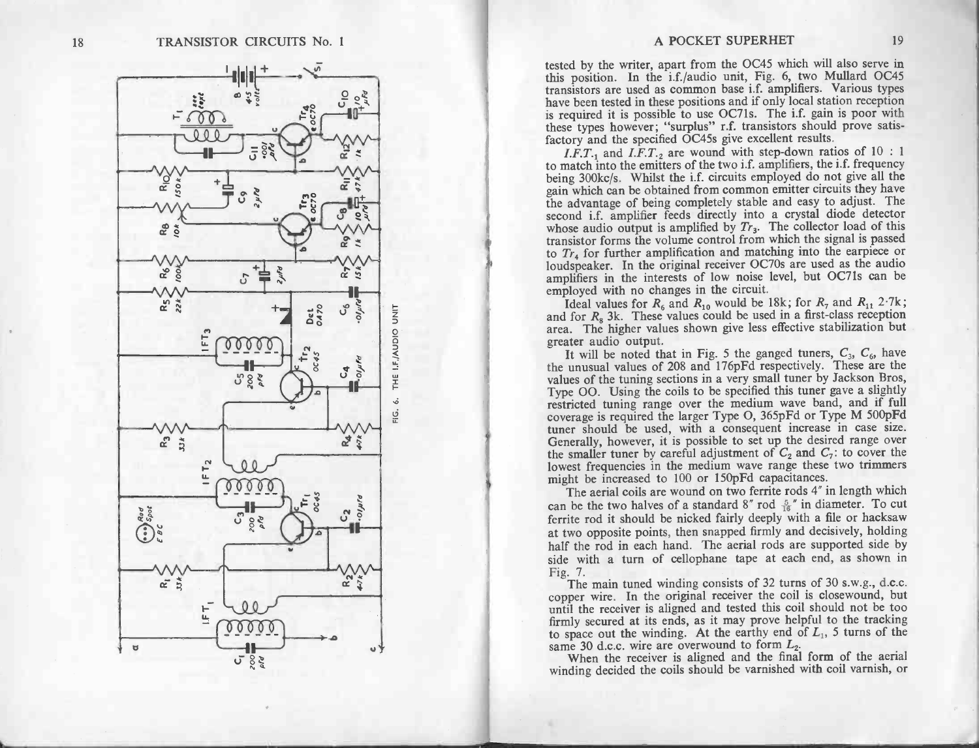

A POCKET SUPERHIET 19<br>
and A POCKET SUPERHIET 19<br>
turns points are the two prince deal of the wirter, apart from the OC45 which will also sero in<br>
turns points on test del in form on these (Fig. 6. We for the proper have

half the rod in each hand. The aerial rods are supported side by side with a turn of cellophane tape at each end, as shown in Fig. 7.<br>The main tuned winding consists of 32 turns of 30 s.w.g., d.c.c. copper wire. In the ori Fig. 7.<br>The main tuned winding consists of 32 turns of 30 s.w.g., d.c.c.<br>copper wire. In the original receiver the coil is closewound, but<br>until the receiver is aligned and tested this coil should not be too<br>firmly secure

winding decided the coils should be varnished with coil varnish, or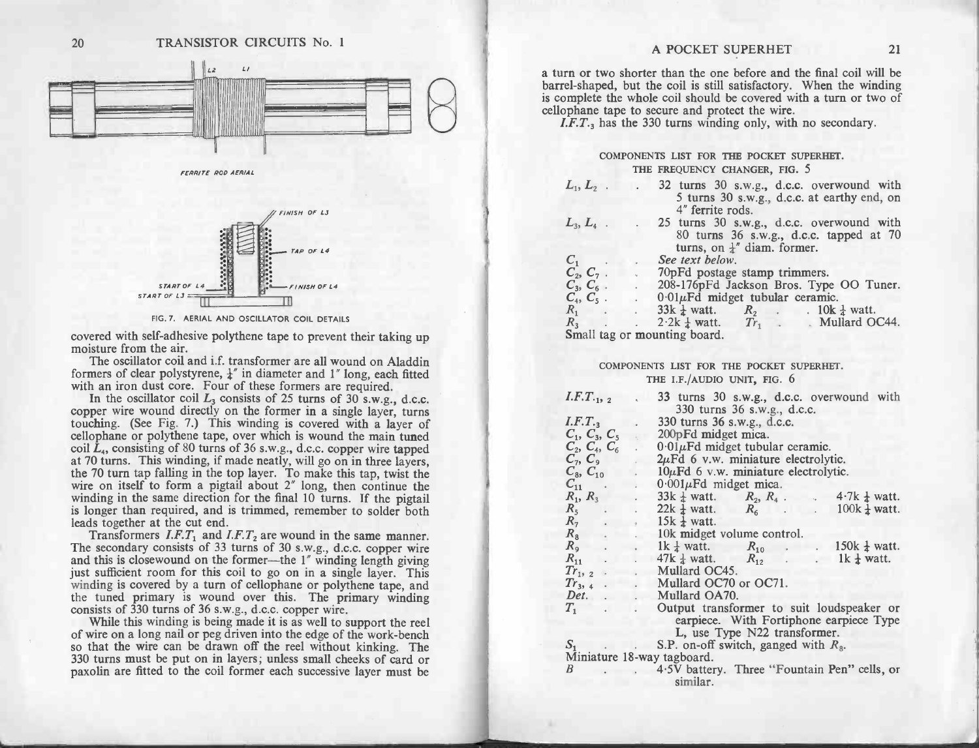



|                              | COMPONENTS LIST FOR THE POCKET SUPERHET.                                                                                          |
|------------------------------|-----------------------------------------------------------------------------------------------------------------------------------|
|                              | THE FREQUENCY CHANGER, FIG. 5                                                                                                     |
| $L_1, L_2$ .                 | 32 turns 30 s.w.g., d.c.c. overwound with<br><b>Contract Contract</b><br>5 turns 30 s.w.g., d.c.c. at earthy end, on              |
|                              | 4" ferrite rods.                                                                                                                  |
| $L_3, L_4$ .                 | . 25 turns 30 s.w.g., d.c.c. overwound with<br>80 turns 36 s.w.g., d.c.c. tapped at 70<br>turns, on $\frac{1}{4}$ " diam. former. |
|                              | See text below.                                                                                                                   |
| $C_1$ <sub>2</sub> , $C_7$ . |                                                                                                                                   |
|                              | . 70pFd postage stamp trimmers.                                                                                                   |
| $C_3, C_6$ .                 | . 208-176pFd Jackson Bros. Type OO Tuner.                                                                                         |
|                              | $C_4$ , $C_5$ . $0.01 \mu \text{Fd}$ midget tubular ceramic.                                                                      |
|                              | $R_1$ . 33k $\frac{1}{4}$ watt. $R_2$ . 10k $\frac{1}{4}$ watt.                                                                   |
|                              | $R_3$ 2.2k $\frac{1}{4}$ watt. $Tr_1$ . Mullard OC44.                                                                             |
|                              | Small tag or mounting board.                                                                                                      |

| TRANSISTOR CIRCUITS No. 1<br>20                                                                                                                                                                                                                                                              | A POCKET SUPERHET<br>21                                                                                                                                                                                                                                                                                                                        |
|----------------------------------------------------------------------------------------------------------------------------------------------------------------------------------------------------------------------------------------------------------------------------------------------|------------------------------------------------------------------------------------------------------------------------------------------------------------------------------------------------------------------------------------------------------------------------------------------------------------------------------------------------|
| $\iota$<br>L2                                                                                                                                                                                                                                                                                | a turn or two shorter than the one before and the final coil will be<br>barrel-shaped, but the coil is still satisfactory. When the winding<br>is complete the whole coil should be covered with a turn or two of<br>cellophane tape to secure and protect the wire.<br>I.F.T. <sub>3</sub> has the 330 turns winding only, with no secondary. |
| FERRITE ROD AERIAL                                                                                                                                                                                                                                                                           | COMPONENTS LIST FOR THE POCKET SUPERHET.<br>THE FREQUENCY CHANGER, FIG. 5                                                                                                                                                                                                                                                                      |
| FINISH OF LJ                                                                                                                                                                                                                                                                                 | 32 turns 30 s.w.g., d.c.c. overwound with<br>$L_1, L_2$ .<br>5 turns 30 s.w.g., d.c.c. at earthy end, on<br>4" ferrite rods.                                                                                                                                                                                                                   |
| AP OF L4                                                                                                                                                                                                                                                                                     | 25 turns 30 s.w.g., d.c.c. overwound with<br>$L_3, L_4$ .<br>80 turns 36 s.w.g., d.c.c. tapped at 70<br>turns, on $\frac{1}{4}$ " diam. former.                                                                                                                                                                                                |
| <b>START OF</b><br>FINISH OF L4                                                                                                                                                                                                                                                              | $C_1$<br>See text below.<br>$C_{2}, C_{7}$ .<br>70pFd postage stamp trimmers.<br>$C_3$ , $C_6$ . . 208-176pFd Jackson Bros. Type OO Tuner.<br>$C_4$ , $C_5$ . . 0.01 $\mu$ Fd midget tubular ceramic.<br>$R_1$ .<br>$33k \frac{1}{4}$ watt. $R_2$ . 10k $\frac{1}{4}$ watt.                                                                    |
| FIG. 7. AERIAL AND OSCILLATOR COIL DETAILS                                                                                                                                                                                                                                                   | $2.2k \frac{1}{4}$ watt. $Tr_1$ . Mullard OC44.<br>$R_3$<br>Small tag or mounting board.                                                                                                                                                                                                                                                       |
| covered with self-adhesive polythene tape to prevent their taking up<br>moisture from the air.<br>The oscillator coil and i.f. transformer are all wound on Aladdin<br>formers of clear polystyrene, $\frac{1}{4}$ " in diameter and 1" long, each fitted                                    | COMPONENTS LIST FOR THE POCKET SUPERHET.<br>THE I.F./AUDIO UNIT, FIG. 6                                                                                                                                                                                                                                                                        |
| with an iron dust core. Four of these formers are required.<br>In the oscillator coil $L_3$ consists of 25 turns of 30 s.w.g., d.c.c.<br>copper wire wound directly on the former in a single layer, turns                                                                                   | $I.F.T_{\cdot 1}, 2$<br>33 turns 30 s.w.g., d.c.c. overwound with<br>330 turns 36 s.w.g., d.c.c.<br>$I.F.T_{3}$<br>330 turns 36 s.w.g., d.c.c.                                                                                                                                                                                                 |
| touching. (See Fig. 7.) This winding is covered with a layer of<br>cellophane or polythene tape, over which is wound the main tuned<br>coil $L_4$ , consisting of 80 turns of 36 s.w.g., d.c.c. copper wire tapped<br>at 70 turns. This winding, if made neatly, will go on in three layers, | $C_1$ , $C_3$ , $C_5$ and 200 pFd midget mica.<br>$C_2, C_4, C_6$ .<br>$0.01 \mu \text{Fd}$ midget tubular ceramic.<br>$C_7, C_9$<br>. $2\mu \text{Fd}$ 6 v.w. miniature electrolytic.                                                                                                                                                         |
| the 70 turn tap falling in the top layer. To make this tap, twist the<br>wire on itself to form a pigtail about 2" long, then continue the<br>winding in the same direction for the final 10 turns. If the pigtail                                                                           | $C_8, C_{10}$<br>$10\mu$ Fd 6 v.w. miniature electrolytic.<br>$\sim$<br>$C_{11}$ .<br>$0.001\mu$ Fd midget mica.<br>$R_1, R_3$<br>33k $\frac{1}{4}$ watt. $R_2, R_4$ . 4.7k $\frac{1}{4}$ watt.                                                                                                                                                |
| is longer than required, and is trimmed, remember to solder both<br>leads together at the cut end.<br>Transformers $I.F.T_1$ and $I.F.T_2$ are wound in the same manner.                                                                                                                     | $22k \frac{1}{4}$ watt. $R_6$ 100k $\frac{1}{4}$ watt.<br>$R_5$ .<br>R <sub>7</sub><br>$15k \frac{1}{4}$ watt.<br>$R_8$ . 10k midget volume control.<br>1k $\frac{1}{4}$ watt.<br>$R_{10}$ . 150k $\frac{1}{4}$ watt.<br>$R_9$ .                                                                                                               |
| The secondary consists of 33 turns of 30 s.w.g., d.c.c. copper wire<br>and this is closewound on the former-the 1" winding length giving<br>just sufficient room for this coil to go on in a single layer. This<br>winding is covered by a turn of cellophane or polythene tape, and         | $47k \frac{1}{4}$ watt.<br>$R_{11}$ .<br>$R_{12}$ . 1k $\frac{1}{4}$ watt.<br>Mullard OC45.<br>$Tr_{12}$ .<br>Mullard OC70 or OC71.<br>$Tr_{3}$ , 4.<br>Mullard OA70.<br>Det.                                                                                                                                                                  |
| the tuned primary is wound over this. The primary winding<br>consists of 330 turns of 36 s.w.g., d.c.c. copper wire.<br>While this winding is being made it is as well to support the reel<br>of wire on a long nail or peg driven into the edge of the work-bench                           | $T_1$ . It is the set of $T_1$<br>Output transformer to suit loudspeaker or<br>earpiece. With Fortiphone earpiece Type<br>L, use Type N22 transformer.                                                                                                                                                                                         |
| so that the wire can be drawn off the reel without kinking. The<br>330 turns must be put on in layers; unless small cheeks of card or<br>paxolin are fitted to the coil former each successive layer must be                                                                                 | $S_1$<br>$\therefore$ S.P. on-off switch, ganged with $R_8$ .<br>Miniature 18-way tagboard.<br>4.5V battery. Three "Fountain Pen" cells, or<br>B<br>similar.                                                                                                                                                                                   |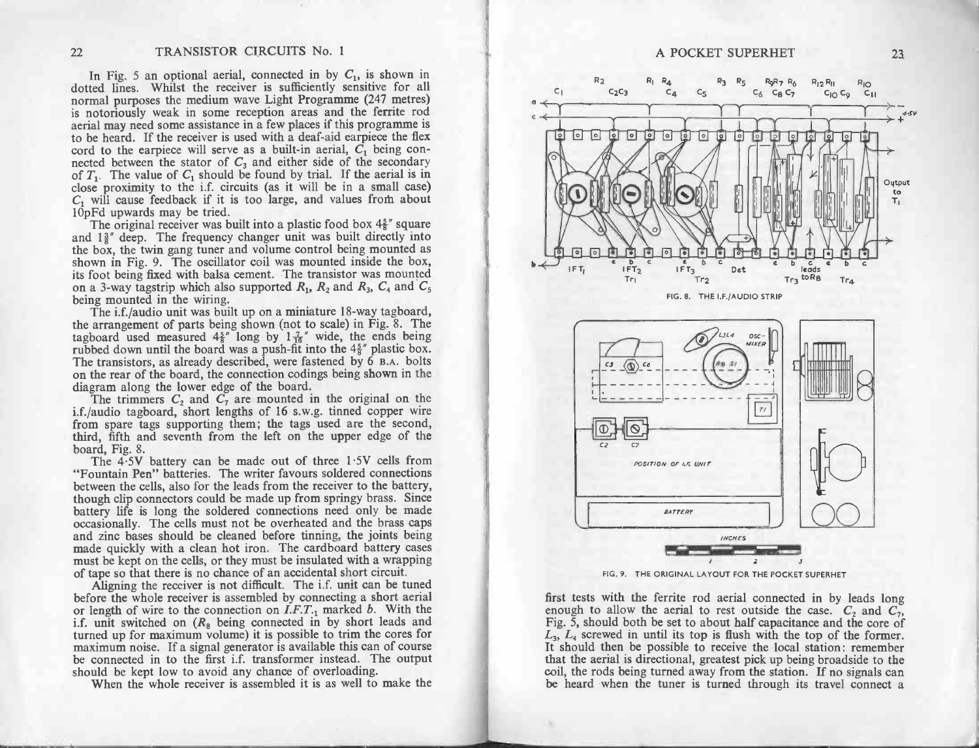In Fig. 5 an optional aerial, connected in by  $C_1$ , is shown in 22 TRANSISTOR CIRCUITS No. 1<br>In Fig. 5 an optional aerial, connected in by  $C_1$ , is shown in<br>dotted lines. Whilst the receiver is sufficiently sensitive for all<br>normal purposes the medium wave Light Programme (247 metres normal purposes the medium wave Light Programme (247 metres) is notoriously weak in some reception areas and the ferrite rod aerial may need some assistance in a few places if this programme is to be heard. If the receiver In Fig. 3 an optional action, connected in by  $C_1$ , is shown in dotted lines. Whilst the receiver is sufficiently sensitive for all normal purposes the medium wave Light Programme (247 metres) is notoriously weak in some normal purposes the medium wave Light Programme (247 metres)<br>is notoriously weak in some reception areas and the ferrite rod<br>aerial may need some assistance in a few places if this programme is<br>to be heard. If the receive is notoriously weak in some reception areas and the ferrite found are allear at a dear. If the receiver is used with a deaf-aid earpiece the flex cord to the earpiece will serve as a built-in aerial,  $C_1$  being connected of  $T_1$ . The value of  $C_1$  should be found by trial. If the aerial is in close proximity to the i.f. circuits (as it will be in a small case)  $C_1$  will cause feedback if it is too large, and values from about 10pFd upw

the box, the twin gang tuner and volume control being mounted as shown in Fig. 9. The oscillator coil was mounted inside the box, its foot being fixed with balsa cement. The transistor was mounted 10pFd upwards may be tried.<br>The original receiver was built into a plastic food box  $4\frac{5}{8}$ " square and  $1\frac{3}{8}$ " deep. The frequency changer unit was built directly into and  $1\frac{3}{8}$ " deep. The frequency changer unit was built directly into<br>the box, the twin gang tuner and volume control being mounted as<br>shown in Fig. 9. The oscillator coil was mounted inside the box,<br>its foot being fix

being mounted in the wiring.<br>The i.f./audio unit was built up on a miniature 18-way tagboard,<br>the arrangement of parts being shown (not to scale) in Fig. 8. The its foot being fixed with balsa cement. The transistor was mounted<br>on a 3-way tagstrip which also supported  $R_1$ ,  $R_2$  and  $R_3$ ,  $C_4$  and  $C_5$ <br>being mounted in the wiring.<br>The i.f./audio unit was built up on a miniat the arrangement of parts being shown (not to scale) in Fig. 8. The tagboard used measured  $4\frac{5}{8}$ " long by  $1\frac{7}{16}$ " wide, the ends being rubbed down until the board was a push-fit into the  $4\frac{5}{8}$ " plastic box. The diagram along the board was a push-fit into the  $4\frac{5}{8}$ " plastic box.<br>The transistors, as already described, were fastened by 6 B.A. bolts<br>on the rear of the board, the connection codings being shown in the<br>diagram

The transistors, as already described, were fastened by 6 B.A. bolts<br>on the rear of the board, the connection codings being shown in the<br>diagram along the lower edge of the board.<br>The trimmers  $C_2$  and  $C_7$  are mounted from spare tags supporting them; the tags used are the second, third, fifth and seventh from the left on the upper edge of the board, Fig. 8.<br>The 4.5V battery can be made out of three  $1.5V$  cells from "Fountain Pen" batt

between the cells, also for the leads from the receiver to the battery, though clip connectors could be made up from springy brass. Since board, Fig. 8.<br>
"Fountain Pen" batteries. The writer favours soldered connections<br>
between the cells, also for the leads from the receiver to the battery,<br>
though clip connectors could be made up from springy brass. Since<br> "Fountain Pen" batteries. The writer favours soldered connections<br>between the cells, also for the leads from the receiver to the battery,<br>though clip connectors could be made up from springy brass. Since<br>battery life is lo mough clip connections could be hiadd up from springy brass. Since battery life is long the soldered connections need only be made occasionally. The cells must not be overheated and the brass caps and zinc bases should be and zinc bases should be cleaned before tinning, the joints being<br>made quickly with a clean hot iron. The cardboard battery cases<br>must be kept on the cells, or they must be insulated with a wrapping<br>of tape so that there i

Aligning the receiver is not difficult. The i.f. unit can be tuned before the whole receiver is assembled by connecting a short aerial or length of wire to the connection on  $I.F.T._1$  marked b. With the i.f. unit switched on  $(R_8$  being connected in by short leads and turned up for maximum volume) it is possible to trim the cores for maximum noise. If a signal generator is available this can of course



FIG. 9. THE ORIGINAL LAYOUT FOR THE POCKET SUPERHET<br>first tests with the ferrite rod aerial connected in by leads long enough to allow the aerial to rest outside the case.  $C_2$  and  $C_7$ ,<br>Fig. 5, should both be set to about half capacitance and the core of<br> $L_3$ ,  $L_4$  screwed in until its top is flush with the top of the former.<br>It shou coil, the rods being turned away from the station. If no signals can be heard when the tuner is turned through its travel connect a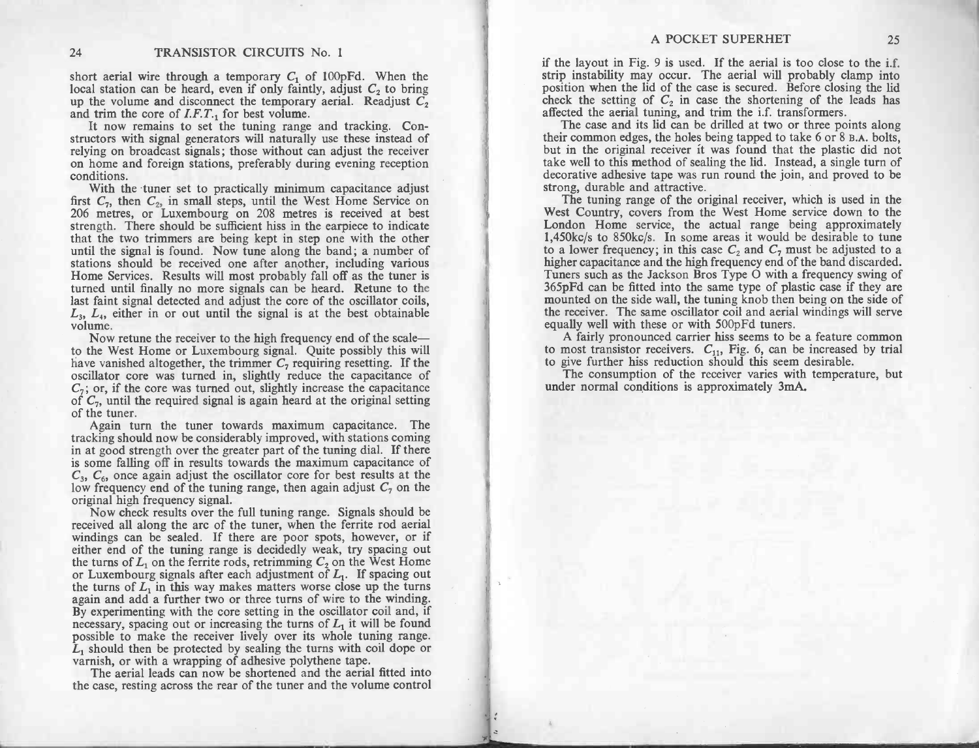**EXECUTS 24** TRANSISTOR CIRCUITS No. 1<br>short aerial wire through a temporary  $C_1$  of 100pFd. When the<br>local station can be heard, even if only faintly, adjust  $C_2$  to bring 24 **TRANSISTOR CIRCUITS** No. 1<br>short aerial wire through a temporary  $C_1$  of 100pFd. When the<br>local station can be heard, even if only faintly, adjust  $C_2$  to bring<br>up the volume and disconnect the temporary aerial. Rea It now remains to set the tuning range and tracking. Con-<br>It now remains to set the tuning range and tracking. Con-<br>structors with signal generators will naturally use these instead of

rely the core of  $I.F.T.$  for best volume.<br>It now remains to set the tuning range and tracking. Constructors with signal generators will naturally use these instead of<br>relying on broadcast signals; those without can adjust relying on broadcast signals; those without can adjust the receiver<br>on home and foreign stations, preferably during evening reception<br>conditions.<br>With the tuner set to practically minimum capacitance adjust first C<sub>7</sub>, then C<sub>2</sub>, in small steps, until naturally use these instead of relying on broadcast signals; those without can adjust the receiver on home and foreign stations, preferably during evening reception conditions.

conditions.<br>With the tuner set to practically minimum capacitance adjust<br>first  $C_7$ , then  $C_2$ , in small steps, until the West Home Service on<br>206 metres, or Luxembourg on 208 metres is received at best<br>strength. There strength. There should be sufficient hiss in the earpiece to indicate that the two trimmers are being kept in step one with the other until the signal is found. Now tune along the band; a number of stations should be recei stations should be received one after another, including various<br>Home Services. Results will most probably fall off as the tuner is<br>turned until finally no more signals can be heard. Retune to the<br>last faint signal detect value than the receiver and adjust the core of the oscillator coils  $L_3$ ,  $L_4$ , either in or out until the signal is at the best obtainable volume.<br>Now retune the receiver to the high frequency end of the scale-

Now retune the receiver to the high frequency end of the scale—<br>to the West Home or Luxembourg signal. Quite possibly this will  $L_3$ ,  $L_4$ , either in or out until the signal is at the best obtainable volume.<br>
Now retune the receiver to the high frequency end of the scale—<br>
to the West Home or Luxembourg signal. Quite possibly this will<br>
have van Now retune the receiver to the high frequency end of the scale—<br>to the West Home or Luxembourg signal. Quite possibly this will<br>nave vanished altogether, the trimmer  $C_7$  requiring resetting. If the<br>oscillator core was t Frow retune the receiver to the high requency end of the scale—<br>to the West Home or Luxembourg signal. Quite possibly this will<br>have vanished altogether, the trimmer  $C_7$  requiring resetting. If the<br>oscillator core was t  $C_7$ ; or, if the core was turned in, slightly reduce the capacitance of  $C_7$ ; or, if the core was turned out, slightly increase the capacitance of  $C_7$ , until the required signal is again heard at the original setting

of  $C_7$ , until the required signal is again heard at the original setting<br>of the tuner.<br>Again turn the tuner towards maximum capacitance. The<br>tracking should now be considerably improved, with stations coming<br>in at good Again turn the tuner towards maximum capacitance. The tracking should now be considerably improved, with stations coming in at good strength over the greater part of the tuning dial. If there is some falling off in result tracking should now be considerably improved, with stations coming<br>in at good strength over the greater part of the tuning dial. If there<br>is some falling off in results towards the maximum capacitance of<br> $C_3$ ,  $C_6$ , onc is some falling off in results towards the maximum capacitance of  $C_3$ ,  $C_6$ , once again adjust the oscillator core for best results at the low frequency end of the tuning range, then again adjust  $C_7$  on the original

received all along the arc of the tuning range. Signals should be received all along the arc of the tuner, when the ferrite rod aerial windings can be sealed. If there are poor spots, however, or if Now check results over the full tuning range. Signals should be received all along the arc of the tuner, when the ferrite rod aerial windings can be sealed. If there are poor spots, however, or if either end of the tuning whichings can be searcd. It there are poor spots, however, or in either end of the tuning range is decidedly weak, try spacing out the turns of  $L_1$  on the ferrite rods, retrimming  $C_2$  on the West Home or Luxembourg si and a further two or three turns of  $L_1$ . If spacing out the turns of  $L_1$  in this way makes matters worse close up the turns again and add a further two or three turns of wire to the winding. By experimenting with the the turns of  $L_1$  in this way makes matters worse close up the turns again and add a further two or three turns of wire to the winding. By experimenting with the core setting in the oscillator coil and, if necessary, spacing out or increasing the turns of  $L_1$  it will be found possible to make the receiver lively over its whole tuning range.  $L_1$  should necessary, spacing out or increasing the turns of  $L_1$  it will be found possible to make the receiver lively over its whole tuning range.  $L_1$  should then be protected by sealing the turns with coil dope or varnish, or TRANSISTON CIRCUITS No. 1<br>
Not arrive through a temperature of a United Mathematical Resort in Fig. 10. A POCKLY SUPER<br>HET are the mathematical methods of the fig. 10. A mathematical methods of the state of the state of t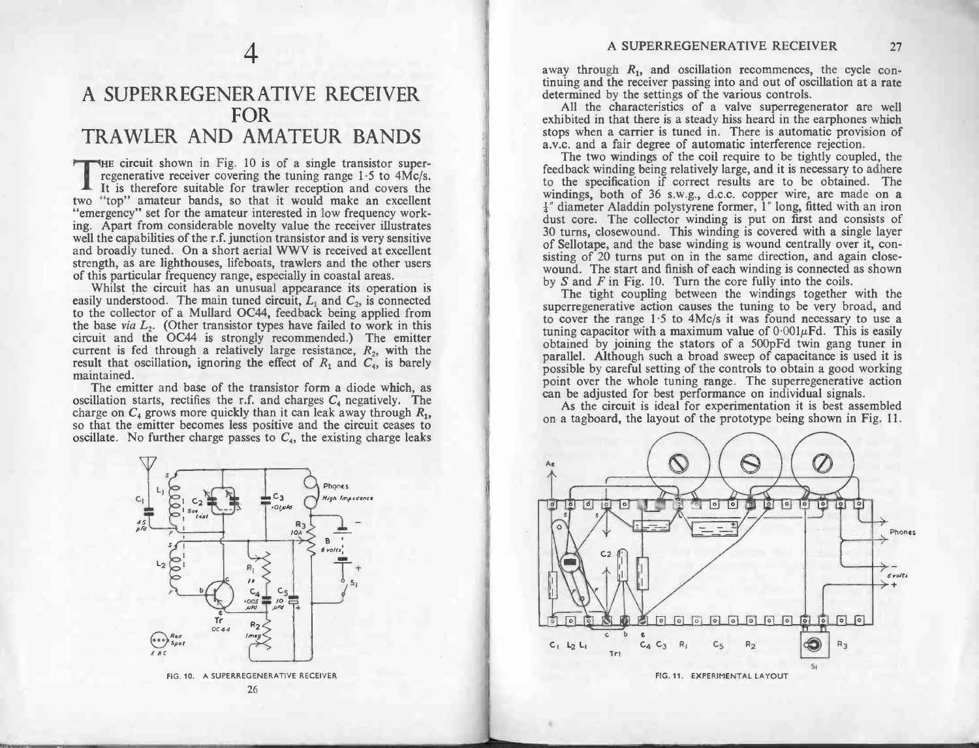## A SUPERREGENERATIVE RECEIVER 4<br>ERA<br>FOR 4<br>A SUPERREGENERATIVE RECEIVER<br>FOR<br>TRAWLER AND AMATEUR BANDS FOR<br>RAWLER AND AMATEUR BANDS<br>FHE circuit shown in Fig. 10 is of a single transistor super-

THE circuit shown in Fig. 10 is of a single transistor super-<br>regenerative receiver covering the tuning range 1.5 to 4Mc/s.<br>It is therefore suitable for trawler reception and covers the The cheat shown in Fig. 10 is of a shighe transistor super-<br>regenerative receiver covering the tuning range 1.5 to 4Mc/s.<br>It is therefore suitable for trawler reception and covers the<br>"top" amateur bands, so that it would It is therefore suitable for trawler reception and covers the two "top" amateur bands, so that it would make an excellent "emergency" set for the amateur interested in low frequency working. Apart from considerable novelty ing. Apart from considerable novelty value the receiver illustrates well the capabilities of the r.f. junction transistor and is very sensitive and broadly tuned. On a short aerial WWV is received at excellent strength, as well the capabilities of the r.f. junction transistor and is very sensitive and broadly tuned. On a short aerial WWV is received at excellent strength, as are lighthouses, lifeboats, trawlers and the other users of this pa

easily understood. The main tuned circuit,  $L_1$  and  $C_2$ , is connected to the collector of a Mullard OC44, feedback being applied from "emergency" set for the amateur interested in low frequency work-<br>ing. Apart from considerable novelty value the receiver illustrates<br>well the capabilities of the r.f. junction transistor and is very sensitive<br>and broadly easily understood. The main tuned circuit,  $L_1$  and  $C_2$ , is connected<br>to the collector of a Mullard OC44, feedback being applied from<br>the base *via*  $L_2$ . (Other transistor types have failed to work in this<br>circuit an Firem and the OC44 is strongly recommended.) The emitter current is fed through a relatively large resistance,  $R_2$ , with the result that oscillation, ignoring the effect of  $R_1$  and  $C_4$ , is barely maintained.<br>The emi

result that oscillation, ignoring the effect of  $R_1$  and  $C_4$ , is barely maintained.<br>The emitter and base of the transistor form a diode which, as oscillation starts, rectifies the r.f. and charges  $C_4$  negatively. The oscillation starts, rectifies the r.f. and charges  $C_4$  negatively. The charge on  $C_4$  grows more quickly than it can leak away through  $R_1$ , so that the emitter becomes less positive and the circuit ceases to oscillat



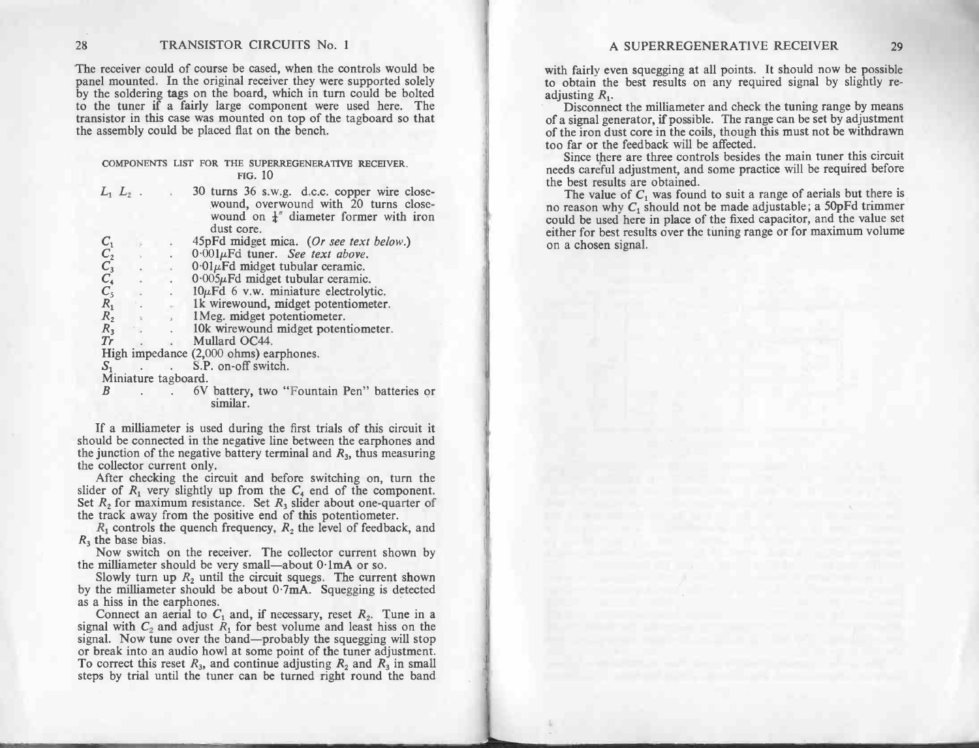## COMPONENTS LIST FOR THE SUPERREGENERATIVE RECEIVER.<br>
FIG. 10<br>  $L_1 L_2$ . 30 turns 36 s.w.g. d.c.c. copper wire closethe assembly could be placed flat on the bench.<br>COMPONENTS LIST FOR THE SUPERREGENERA

| TRANSISTOR CIRCUITS No. 1<br>$\overline{8}$                                                                                                                                                                                                                                                                                                                                                                                                                                                                                                                                                                                                                                                                                                                                                                                                   | A SUPERREGENERATIVE RECEIVER<br>29                                                                                                                                                                                                                                                                                                                                                                                                                                                                                                                                                                                                                                                                                                                                                                                                                                                                                                  |  |  |  |
|-----------------------------------------------------------------------------------------------------------------------------------------------------------------------------------------------------------------------------------------------------------------------------------------------------------------------------------------------------------------------------------------------------------------------------------------------------------------------------------------------------------------------------------------------------------------------------------------------------------------------------------------------------------------------------------------------------------------------------------------------------------------------------------------------------------------------------------------------|-------------------------------------------------------------------------------------------------------------------------------------------------------------------------------------------------------------------------------------------------------------------------------------------------------------------------------------------------------------------------------------------------------------------------------------------------------------------------------------------------------------------------------------------------------------------------------------------------------------------------------------------------------------------------------------------------------------------------------------------------------------------------------------------------------------------------------------------------------------------------------------------------------------------------------------|--|--|--|
| The receiver could of course be cased, when the controls would be<br>banel mounted. In the original receiver they were supported solely<br>by the soldering tags on the board, which in turn could be bolted<br>o the tuner if a fairly large component were used here. The<br>ransistor in this case was mounted on top of the tagboard so that<br>he assembly could be placed flat on the bench.                                                                                                                                                                                                                                                                                                                                                                                                                                            | with fairly even squegging at all points. It should now be possible<br>to obtain the best results on any required signal by slightly re-<br>adjusting $R_1$ .<br>Disconnect the milliameter and check the tuning range by means<br>of a signal generator, if possible. The range can be set by adjustment<br>of the iron dust core in the coils, though this must not be withdrawn<br>too far or the feedback will be affected.<br>Since there are three controls besides the main tuner this circuit<br>needs careful adjustment, and some practice will be required before<br>the best results are obtained.<br>The value of $C_1$ was found to suit a range of aerials but there is<br>no reason why $C_1$ should not be made adjustable; a 50pFd trimmer<br>could be used here in place of the fixed capacitor, and the value set<br>either for best results over the tuning range or for maximum volume<br>on a chosen signal. |  |  |  |
| COMPONENTS LIST FOR THE SUPERREGENERATIVE RECEIVER,<br><b>FIG. 10</b><br>30 turns 36 s.w.g. d.c.c. copper wire close-<br>$L_1$ $L_2$ .<br>wound, overwound with 20 turns close-<br>wound on $\frac{1}{4}$ " diameter former with iron<br>dust core.<br>45pFd midget mica. (Or see text below.)<br>$C_1$<br>$C_2$<br>$C_3$<br>$C_4$<br>$C_5$<br>$R_1$<br>$R_2$<br>$R_3$<br>$0.001 \mu \text{Fd}$ tuner. See text above.<br>$0.01\mu$ Fd midget tubular ceramic.<br>$0.005\mu$ Fd midget tubular ceramic.<br>$10\mu$ Fd 6 v.w. miniature electrolytic.<br>1k wirewound, midget potentiometer.<br>1Meg. midget potentiometer.<br>10k wirewound midget potentiometer.<br>Tr<br>Mullard OC44.<br>High impedance (2,000 ohms) earphones.<br>S.P. on-off switch.<br>$S_1$<br>Miniature tagboard.<br>6V battery, two "Fountain Pen" batteries or<br>B |                                                                                                                                                                                                                                                                                                                                                                                                                                                                                                                                                                                                                                                                                                                                                                                                                                                                                                                                     |  |  |  |
| similar.<br>If a milliameter is used during the first trials of this circuit it<br>should be connected in the negative line between the earphones and<br>the junction of the negative battery terminal and $R_3$ , thus measuring<br>the collector current only.<br>After checking the circuit and before switching on, turn the<br>slider of $R_1$ very slightly up from the $C_4$ end of the component.<br>Set $R_2$ for maximum resistance. Set $R_3$ slider about one-quarter of<br>the track away from the positive end of this potentiometer.<br>$R_1$ controls the quench frequency, $R_2$ the level of feedback, and<br>$R_3$ the base bias.<br>Now switch on the receiver. The collector current shown by                                                                                                                            |                                                                                                                                                                                                                                                                                                                                                                                                                                                                                                                                                                                                                                                                                                                                                                                                                                                                                                                                     |  |  |  |
| the milliameter should be very small—about $0.1 \text{mA}$ or so.<br>Slowly turn up $R_2$ until the circuit squegs. The current shown<br>by the milliameter should be about $0.7 \text{mA}$ . Squegging is detected<br>as a hiss in the earphones.<br>Connect an aerial to $C_1$ and, if necessary, reset $R_2$ . Tune in a<br>signal with $C_2$ and adjust $R_1$ for best volume and least hiss on the<br>signal. Now tune over the band—probably the squegging will stop<br>or break into an audio howl at some point of the tuner adjustment.<br>To correct this reset $R_3$ , and continue adjusting $R_2$ and $R_3$ in small<br>steps by trial until the tuner can be turned right round the band                                                                                                                                        |                                                                                                                                                                                                                                                                                                                                                                                                                                                                                                                                                                                                                                                                                                                                                                                                                                                                                                                                     |  |  |  |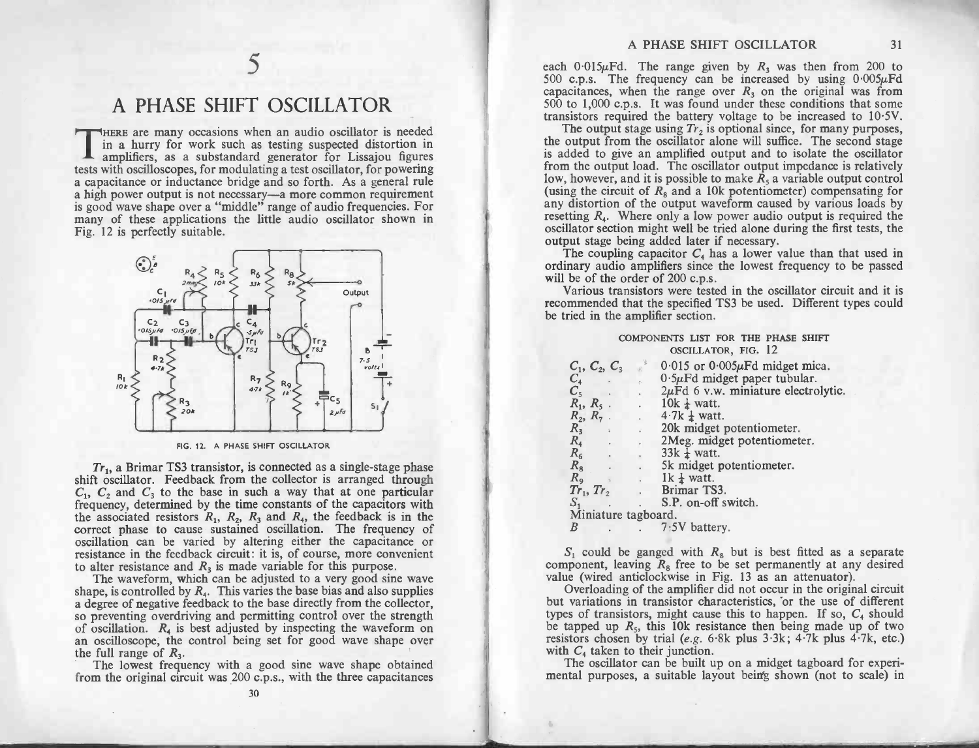# S<br>
A PHASE SHIFT OSCILLATOR

A PHASE SHIFT OSCILLATOR<br>THERE are many occasions when an audio oscillator is needed in a hurry for work such as testing suspected distortion in THERE are many occasions when an audio oscillator is needed<br>in a hurry for work such as testing suspected distortion in<br>tests with oscilloscopes, for modulating a test oscillator, for powering THERE are many occasions when an audio oscillator is needed<br>in a hurry for work such as testing suspected distortion in<br>amplifiers, as a substandard generator for Lissajou figures<br>tests with oscilloscopes, for modulating a tests with oscilloscopes, for modulating a test oscillator, for powering<br>a capacitance or inductance bridge and so forth. As a general rule<br>a high power output is not necessary—a more common requirement<br>is good wave shape **A** amplifiers, as a substandard generator for Lissajou figures tests with oscilloscopes, for modulating a test oscillator, for powering a capacitance or inductance bridge and so forth. As a general rule a high power outpu many of these applications the little audio oscillator shown in Fig. 12 is perfectly suitable.



 $Tr_1$ , a Brimar TS3 transistor, is connected as a single-stage phase shift oscillator. Feedback from the collector is arranged through FIG. 12. A PHASE SHIFT OSCILLATOR<br>Tr<sub>1</sub>, a Brimar TS3 transistor, is connected as a single-stage phase<br>Shift oscillator. Feedback from the collector is arranged through<br> $C_1$ ,  $C_2$  and  $C_3$  to the base in such a way tha  $Tr_1$ , a Brimar TS3 transistor, is connected as a single-stage phase<br>shift oscillator. Feedback from the collector is arranged through<br> $C_1$ ,  $C_2$  and  $C_3$  to the base in such a way that at one particular<br>frequency, det frequency, determined by the time constants of the capacitors with<br>the associated resistors  $R_1$ ,  $R_2$ ,  $R_3$  and  $R_4$ , the feedback is in the<br>correct phase to cause sustained oscillation. The frequency of<br>oscillation correct phase to cause sustained oscillation. The frequency of oscillation can be varied by altering either the capacitance or resistance in the feedback circuit: it is, of course, more convenient oscillation can be varied by altering either the capacita<br>resistance in the feedback circuit: it is, of course, more con<br>to alter resistance and  $R_3$  is made variable for this purpose. rect phase to cause sustained oscillation. The frequency of llation can be varied by altering either the capacitance or stance in the feedback circuit: it is, of course, more convenient liter resistance and  $R_3$  is made resistance in the feedback circuit: it is, of course, more convenient<br>to alter resistance and  $R_3$  is made variable for this purpose.<br>The waveform, which can be adjusted to a very good sine wave<br>shape, is controlled by

The waveform, which can be adjusted to a very good sine wave<br>shape, is controlled by  $R_4$ . This varies the base bias and also supplies<br>a degree of negative feedback to the base directly from the collector,<br>so preventing resistance in the reedback circuit: it is, of course, more convenient<br>to alter resistance and  $R_3$  is made variable for this purpose.<br>The waveform, which can be adjusted to a very good sine wave<br>shape, is controlled by a degree of negative feedback to the base directly from the collector,<br>so preventing overdriving and permitting control over the strength<br>of oscillation.  $R_4$  is best adjusted by inspecting the waveform on<br>an oscilloscop

| COMPONENTS LIST FOR THE PHASE SHIFT |  |  |  |  |
|-------------------------------------|--|--|--|--|
| OSCILLATOR, FIG. 12                 |  |  |  |  |

|                                                                                                                                                                                                                                                                                                                                                                               | A PHASE SHIFT OSCILLATOR<br>31                                                                                                                                                                                                                                                                                                                                                                                                                                                                                                                                                                                                                                                                                                                                                                                                                                                                                                                                                                                                                                                                                                                                                                                                                                                                                                                                                                                     |
|-------------------------------------------------------------------------------------------------------------------------------------------------------------------------------------------------------------------------------------------------------------------------------------------------------------------------------------------------------------------------------|--------------------------------------------------------------------------------------------------------------------------------------------------------------------------------------------------------------------------------------------------------------------------------------------------------------------------------------------------------------------------------------------------------------------------------------------------------------------------------------------------------------------------------------------------------------------------------------------------------------------------------------------------------------------------------------------------------------------------------------------------------------------------------------------------------------------------------------------------------------------------------------------------------------------------------------------------------------------------------------------------------------------------------------------------------------------------------------------------------------------------------------------------------------------------------------------------------------------------------------------------------------------------------------------------------------------------------------------------------------------------------------------------------------------|
| <b>T OSCILLATOR</b><br>hen an audio oscillator is needed<br>as testing suspected distortion in<br>rd generator for Lissajou figures<br>lating a test oscillator, for powering<br>ge and so forth. As a general rule<br>ary—a more common requirement<br>le" range of audio frequencies. For<br>little audio oscillator shown in<br>$R_6$<br>$R_{\beta}$<br>U8<br>5k<br>Output | each 0.015 $\mu$ Fd. The range given by $R_3$ was then from 200 to<br>500 c.p.s. The frequency can be increased by using $0.005\mu\text{Fd}$<br>capacitances, when the range over $R_3$ on the original was from<br>500 to 1,000 c.p.s. It was found under these conditions that some<br>transistors required the battery voltage to be increased to $10.5V$ .<br>The output stage using $Tr_2$ is optional since, for many purposes,<br>the output from the oscillator alone will suffice. The second stage<br>is added to give an amplified output and to isolate the oscillator<br>from the output load. The oscillator output impedance is relatively<br>low, however, and it is possible to make $R_5$ a variable output control<br>(using the circuit of $R_8$ and a 10k potentiometer) compensating for<br>any distortion of the output waveform caused by various loads by<br>resetting $R_4$ . Where only a low power audio output is required the<br>oscillator section might well be tried alone during the first tests, the<br>output stage being added later if necessary.<br>The coupling capacitor $C_4$ has a lower value than that used in<br>ordinary audio amplifiers since the lowest frequency to be passed<br>will be of the order of 200 c.p.s.<br>Various transistors were tested in the oscillator circuit and it is<br>recommended that the specified TS3 be used. Different types could |
| $-4$<br>5 ji Fd<br>Tr <sub>2</sub><br>٢Į.<br>5 J<br>В<br>7.5<br>volts<br>R <sub>7</sub><br>Rg<br>4.7 k<br>$rac{1}{5}c_5$<br>$S_{1}$<br>$2 \mu$ Fd<br>SHIFT OSCILLATOR<br>is connected as a single-stage phase<br>the collector is arranged through                                                                                                                            | be tried in the amplifier section.<br>COMPONENTS LIST FOR THE PHASE SHIFT<br>OSCILLATOR, FIG. 12<br>$\delta$ 0.015 or 0.005 $\mu$ Fd midget mica.<br>$C_1, C_2, C_3$<br>$0.5\mu$ Fd midget paper tubular.<br>$C_4$<br>$2\mu$ Fd 6 v.w. miniature electrolytic.<br>$\mathcal{L}^{\pm}$<br>$R_1, R_5$ .<br>$10k \frac{1}{4}$ watt.<br>$R_2, R_7$ .<br>$4.7k \frac{1}{4}$ watt.<br>$\overline{\varphi}$ .<br>$R_3$<br>20k midget potentiometer.<br>$R_4$<br>2Meg. midget potentiometer.<br>$R_6$<br>$33k \frac{1}{4}$ watt.<br><b>Contract Contract</b><br>$R_8$<br>5k midget potentiometer.<br>$R_{9}$<br>$1k \frac{1}{4}$ watt.<br>$\sim$                                                                                                                                                                                                                                                                                                                                                                                                                                                                                                                                                                                                                                                                                                                                                                           |
| uch a way that at one particular<br>e constants of the capacitors with<br>$R_3$ and $R_4$ , the feedback is in the<br>d oscillation. The frequency of<br>ltering either the capacitance or                                                                                                                                                                                    | $Tr_1, Tr_2$<br>Brimar TS3.<br>S.P. on-off switch.<br>$S_1$<br>Miniature tagboard.<br>B<br>7:5V battery.                                                                                                                                                                                                                                                                                                                                                                                                                                                                                                                                                                                                                                                                                                                                                                                                                                                                                                                                                                                                                                                                                                                                                                                                                                                                                                           |
| : it is, of course, more convenient<br>e variable for this purpose.<br>adjusted to a very good sine wave<br>aries the base bias and also supplies<br>the base directly from the collector,<br>ermitting control over the strength<br>ed by inspecting the waveform on<br>ng set for good wave shape over<br>good sine wave shape obtained                                     | $S_1$ could be ganged with $R_8$ but is best fitted as a separate<br>component, leaving $R_8$ free to be set permanently at any desired<br>value (wired anticlockwise in Fig. 13 as an attenuator).<br>Overloading of the amplifier did not occur in the original circuit<br>but variations in transistor characteristics, or the use of different<br>types of transistors, might cause this to happen. If so, $C_4$ should<br>be tapped up $R_5$ , this 10k resistance then being made up of two<br>resistors chosen by trial (e.g. 6.8k plus 3.3k; 4.7k plus 4.7k, etc.)<br>with $C_4$ taken to their junction.<br>The oscillator can be built up on a midget tagboard for experi-                                                                                                                                                                                                                                                                                                                                                                                                                                                                                                                                                                                                                                                                                                                               |
| c.p.s., with the three capacitances<br>30                                                                                                                                                                                                                                                                                                                                     | mental purposes, a suitable layout being shown (not to scale) in                                                                                                                                                                                                                                                                                                                                                                                                                                                                                                                                                                                                                                                                                                                                                                                                                                                                                                                                                                                                                                                                                                                                                                                                                                                                                                                                                   |